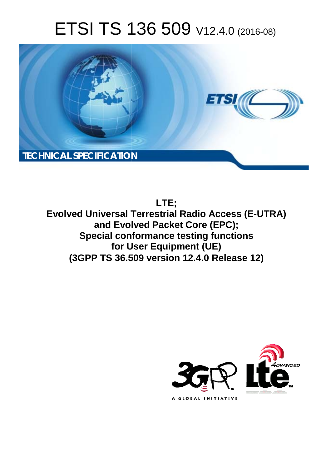# ETSI TS 136 509 V12.4.0 (2016-08)



**LTE;**

**Evolved Universal Terrestrial Radio Access (E-UTRA) and Evol olved Packet Core (EPC); Special conformance testing functions for U User Equipment (UE) Special conformance testing functions<br>for User Equipment (UE)<br>(3GPP TS 36.509 version 12.4.0 Release 12)** 

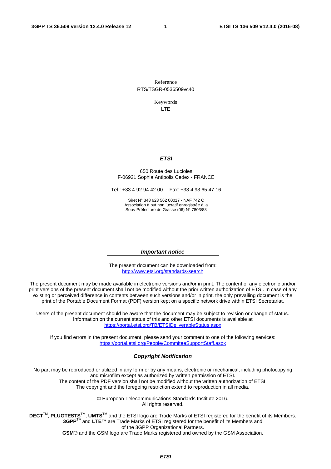Reference RTS/TSGR-0536509vc40

Keywords

 $\overline{1}$ 

### *ETSI*

#### 650 Route des Lucioles F-06921 Sophia Antipolis Cedex - FRANCE

Tel.: +33 4 92 94 42 00 Fax: +33 4 93 65 47 16

Siret N° 348 623 562 00017 - NAF 742 C Association à but non lucratif enregistrée à la Sous-Préfecture de Grasse (06) N° 7803/88

#### *Important notice*

The present document can be downloaded from: <http://www.etsi.org/standards-search>

The present document may be made available in electronic versions and/or in print. The content of any electronic and/or print versions of the present document shall not be modified without the prior written authorization of ETSI. In case of any existing or perceived difference in contents between such versions and/or in print, the only prevailing document is the print of the Portable Document Format (PDF) version kept on a specific network drive within ETSI Secretariat.

Users of the present document should be aware that the document may be subject to revision or change of status. Information on the current status of this and other ETSI documents is available at <https://portal.etsi.org/TB/ETSIDeliverableStatus.aspx>

If you find errors in the present document, please send your comment to one of the following services: <https://portal.etsi.org/People/CommiteeSupportStaff.aspx>

#### *Copyright Notification*

No part may be reproduced or utilized in any form or by any means, electronic or mechanical, including photocopying and microfilm except as authorized by written permission of ETSI.

The content of the PDF version shall not be modified without the written authorization of ETSI. The copyright and the foregoing restriction extend to reproduction in all media.

> © European Telecommunications Standards Institute 2016. All rights reserved.

**DECT**TM, **PLUGTESTS**TM, **UMTS**TM and the ETSI logo are Trade Marks of ETSI registered for the benefit of its Members. **3GPP**TM and **LTE**™ are Trade Marks of ETSI registered for the benefit of its Members and of the 3GPP Organizational Partners.

**GSM**® and the GSM logo are Trade Marks registered and owned by the GSM Association.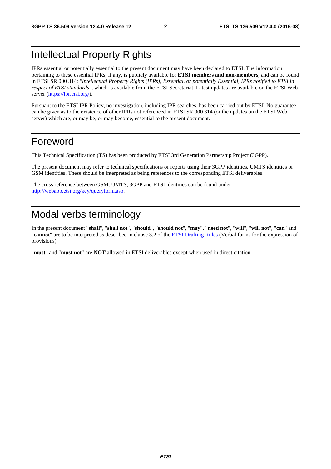# Intellectual Property Rights

IPRs essential or potentially essential to the present document may have been declared to ETSI. The information pertaining to these essential IPRs, if any, is publicly available for **ETSI members and non-members**, and can be found in ETSI SR 000 314: *"Intellectual Property Rights (IPRs); Essential, or potentially Essential, IPRs notified to ETSI in respect of ETSI standards"*, which is available from the ETSI Secretariat. Latest updates are available on the ETSI Web server ([https://ipr.etsi.org/\)](https://ipr.etsi.org/).

Pursuant to the ETSI IPR Policy, no investigation, including IPR searches, has been carried out by ETSI. No guarantee can be given as to the existence of other IPRs not referenced in ETSI SR 000 314 (or the updates on the ETSI Web server) which are, or may be, or may become, essential to the present document.

# Foreword

This Technical Specification (TS) has been produced by ETSI 3rd Generation Partnership Project (3GPP).

The present document may refer to technical specifications or reports using their 3GPP identities, UMTS identities or GSM identities. These should be interpreted as being references to the corresponding ETSI deliverables.

The cross reference between GSM, UMTS, 3GPP and ETSI identities can be found under [http://webapp.etsi.org/key/queryform.asp.](http://webapp.etsi.org/key/queryform.asp)

# Modal verbs terminology

In the present document "**shall**", "**shall not**", "**should**", "**should not**", "**may**", "**need not**", "**will**", "**will not**", "**can**" and "**cannot**" are to be interpreted as described in clause 3.2 of the [ETSI Drafting Rules](https://portal.etsi.org/Services/editHelp!/Howtostart/ETSIDraftingRules.aspx) (Verbal forms for the expression of provisions).

"**must**" and "**must not**" are **NOT** allowed in ETSI deliverables except when used in direct citation.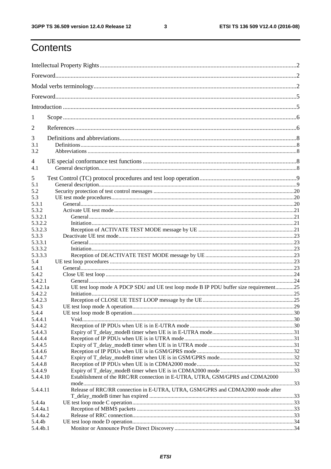ETSI TS 136 509 V12.4.0 (2016-08)

# Contents

| 1                  |                                                                                       |  |
|--------------------|---------------------------------------------------------------------------------------|--|
| $\overline{2}$     |                                                                                       |  |
| 3                  |                                                                                       |  |
| 3.1                |                                                                                       |  |
| 3.2                |                                                                                       |  |
| 4<br>4.1           |                                                                                       |  |
| 5                  |                                                                                       |  |
| 5.1                |                                                                                       |  |
| 5.2                |                                                                                       |  |
| 5.3                |                                                                                       |  |
| 5.3.1              |                                                                                       |  |
| 5.3.2<br>5.3.2.1   |                                                                                       |  |
| 5.3.2.2            |                                                                                       |  |
| 5.3.2.3            |                                                                                       |  |
| 5.3.3              |                                                                                       |  |
| 5.3.3.1            |                                                                                       |  |
| 5.3.3.2            |                                                                                       |  |
| 5.3.3.3            |                                                                                       |  |
| 5.4                |                                                                                       |  |
| 5.4.1              |                                                                                       |  |
| 5.4.2              |                                                                                       |  |
| 5.4.2.1            |                                                                                       |  |
| 5.4.2.1a           | UE test loop mode A PDCP SDU and UE test loop mode B IP PDU buffer size requirement25 |  |
| 5.4.2.2            |                                                                                       |  |
| 5.4.2.3            |                                                                                       |  |
| 5.4.3              |                                                                                       |  |
| 5.4.4              |                                                                                       |  |
| 5.4.4.1            |                                                                                       |  |
| 5.4.4.2            |                                                                                       |  |
| 5.4.4.3<br>5.4.4.4 |                                                                                       |  |
| 5.4.4.5            |                                                                                       |  |
| 5.4.4.6            |                                                                                       |  |
| 5.4.4.7            |                                                                                       |  |
| 5.4.4.8            |                                                                                       |  |
| 5.4.4.9            |                                                                                       |  |
| 5.4.4.10           | Establishment of the RRC/RR connection in E-UTRA, UTRA, GSM/GPRS and CDMA2000         |  |
|                    |                                                                                       |  |
| 5.4.4.11           | Release of RRC/RR connection in E-UTRA, UTRA, GSM/GPRS and CDMA2000 mode after        |  |
| 5.4.4a             |                                                                                       |  |
| 5.4.4a.1           |                                                                                       |  |
| 5.4.4a.2           |                                                                                       |  |
| 5.4.4b             |                                                                                       |  |
| 5.4.4b.1           |                                                                                       |  |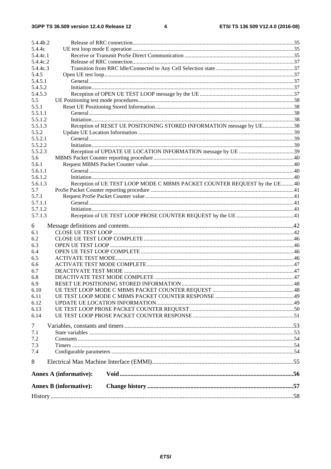| 5.4.4b.2         |                                                                          |  |
|------------------|--------------------------------------------------------------------------|--|
| 5.4.4c           |                                                                          |  |
| 5.4.4c.1         |                                                                          |  |
| 5.4.4c.2         |                                                                          |  |
| 5.4.4c.3         |                                                                          |  |
| 5.4.5            |                                                                          |  |
| 5.4.5.1          |                                                                          |  |
| 5.4.5.2          |                                                                          |  |
| 5.4.5.3          |                                                                          |  |
| 5.5              |                                                                          |  |
| 5.5.1<br>5.5.1.1 |                                                                          |  |
| 5.5.1.2          |                                                                          |  |
| 5.5.1.3          | Reception of RESET UE POSITIONING STORED INFORMATION message by UE38     |  |
| 5.5.2            |                                                                          |  |
| 5.5.2.1          |                                                                          |  |
| 5.5.2.2          |                                                                          |  |
| 5.5.2.3          |                                                                          |  |
| 5.6              |                                                                          |  |
| 5.6.1            |                                                                          |  |
| 5.6.1.1          |                                                                          |  |
| 5.6.1.2          |                                                                          |  |
| 5.6.1.3          | Reception of UE TEST LOOP MODE C MBMS PACKET COUNTER REQUEST by the UE40 |  |
| 5.7              |                                                                          |  |
| 5.7.1            |                                                                          |  |
| 5.7.1.1          |                                                                          |  |
| 5.7.1.2          |                                                                          |  |
| 5.7.1.3          |                                                                          |  |
| 6                |                                                                          |  |
| 6.1              |                                                                          |  |
| 6.2              |                                                                          |  |
| 6.3              |                                                                          |  |
| 6.4              |                                                                          |  |
| 6.5              |                                                                          |  |
| 6.6              |                                                                          |  |
| 6.7              |                                                                          |  |
| 6.8              |                                                                          |  |
| 6.9              |                                                                          |  |
| 6.10             |                                                                          |  |
| 6.11<br>6.12     |                                                                          |  |
| 6.13             |                                                                          |  |
| 6.14             |                                                                          |  |
|                  |                                                                          |  |
| $\overline{7}$   |                                                                          |  |
| 7.1              |                                                                          |  |
| 7.2              |                                                                          |  |
| 7.3              |                                                                          |  |
| 7.4              |                                                                          |  |
| 8                |                                                                          |  |
|                  | <b>Annex A (informative):</b>                                            |  |
|                  | <b>Annex B</b> (informative):                                            |  |
|                  |                                                                          |  |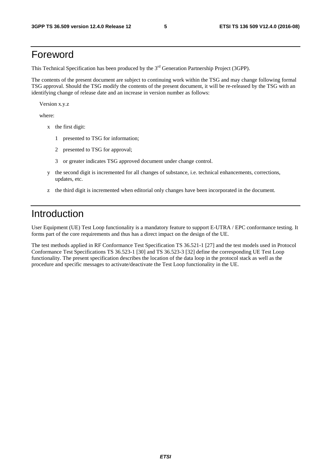# Foreword

This Technical Specification has been produced by the 3<sup>rd</sup> Generation Partnership Project (3GPP).

The contents of the present document are subject to continuing work within the TSG and may change following formal TSG approval. Should the TSG modify the contents of the present document, it will be re-released by the TSG with an identifying change of release date and an increase in version number as follows:

Version x.y.z

where:

- x the first digit:
	- 1 presented to TSG for information;
	- 2 presented to TSG for approval;
	- 3 or greater indicates TSG approved document under change control.
- y the second digit is incremented for all changes of substance, i.e. technical enhancements, corrections, updates, etc.
- z the third digit is incremented when editorial only changes have been incorporated in the document.

# Introduction

User Equipment (UE) Test Loop functionality is a mandatory feature to support E-UTRA / EPC conformance testing. It forms part of the core requirements and thus has a direct impact on the design of the UE.

The test methods applied in RF Conformance Test Specification TS 36.521-1 [27] and the test models used in Protocol Conformance Test Specifications TS 36.523-1 [30] and TS 36.523-3 [32] define the corresponding UE Test Loop functionality. The present specification describes the location of the data loop in the protocol stack as well as the procedure and specific messages to activate/deactivate the Test Loop functionality in the UE.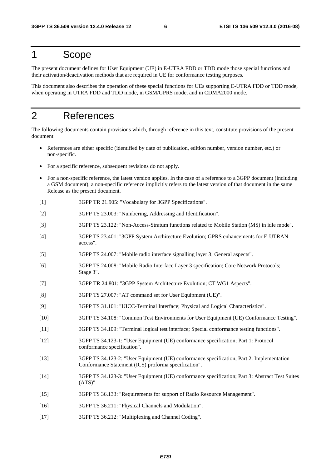# 1 Scope

The present document defines for User Equipment (UE) in E-UTRA FDD or TDD mode those special functions and their activation/deactivation methods that are required in UE for conformance testing purposes.

This document also describes the operation of these special functions for UEs supporting E-UTRA FDD or TDD mode, when operating in UTRA FDD and TDD mode, in GSM/GPRS mode, and in CDMA2000 mode.

# 2 References

The following documents contain provisions which, through reference in this text, constitute provisions of the present document.

- References are either specific (identified by date of publication, edition number, version number, etc.) or non-specific.
- For a specific reference, subsequent revisions do not apply.
- For a non-specific reference, the latest version applies. In the case of a reference to a 3GPP document (including a GSM document), a non-specific reference implicitly refers to the latest version of that document in the same Release as the present document.
- [1] 3GPP TR 21.905: "Vocabulary for 3GPP Specifications".
- [2] 3GPP TS 23.003: "Numbering, Addressing and Identification".
- [3] 3GPP TS 23.122: "Non-Access-Stratum functions related to Mobile Station (MS) in idle mode".
- [4] 3GPP TS 23.401: "3GPP System Architecture Evolution; GPRS enhancements for E-UTRAN access".
- [5] 3GPP TS 24.007: "Mobile radio interface signalling layer 3; General aspects".
- [6] 3GPP TS 24.008: "Mobile Radio Interface Layer 3 specification; Core Network Protocols; Stage 3".
- [7] 3GPP TR 24.801: "3GPP System Architecture Evolution; CT WG1 Aspects".
- [8] 3GPP TS 27.007: "AT command set for User Equipment (UE)".
- [9] 3GPP TS 31.101: "UICC-Terminal Interface; Physical and Logical Characteristics".
- [10] 3GPP TS 34.108: "Common Test Environments for User Equipment (UE) Conformance Testing".
- [11] 3GPP TS 34.109: "Terminal logical test interface; Special conformance testing functions".
- [12] 3GPP TS 34.123-1: "User Equipment (UE) conformance specification; Part 1: Protocol conformance specification".
- [13] 3GPP TS 34.123-2: "User Equipment (UE) conformance specification; Part 2: Implementation Conformance Statement (ICS) proforma specification".
- [14] 3GPP TS 34.123-3: "User Equipment (UE) conformance specification; Part 3: Abstract Test Suites (ATS)".
- [15] 3GPP TS 36.133: "Requirements for support of Radio Resource Management".
- [16] 3GPP TS 36.211: "Physical Channels and Modulation".
- [17] 3GPP TS 36.212: "Multiplexing and Channel Coding".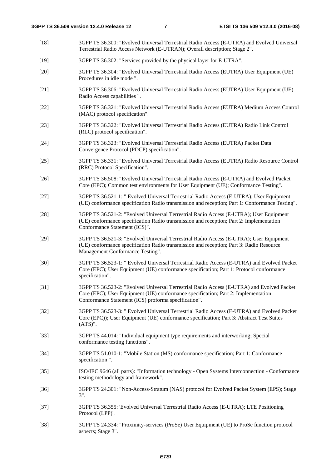[18] 3GPP TS 36.300: "Evolved Universal Terrestrial Radio Access (E-UTRA) and Evolved Universal Terrestrial Radio Access Network (E-UTRAN); Overall description; Stage 2". [19] 3GPP TS 36.302: "Services provided by the physical layer for E-UTRA". [20] 3GPP TS 36.304: "Evolved Universal Terrestrial Radio Access (EUTRA) User Equipment (UE) Procedures in idle mode ". [21] 3GPP TS 36.306: "Evolved Universal Terrestrial Radio Access (EUTRA) User Equipment (UE) Radio Access capabilities ". [22] 3GPP TS 36.321: "Evolved Universal Terrestrial Radio Access (EUTRA) Medium Access Control (MAC) protocol specification". [23] 3GPP TS 36.322: "Evolved Universal Terrestrial Radio Access (EUTRA) Radio Link Control (RLC) protocol specification". [24] 3GPP TS 36.323: "Evolved Universal Terrestrial Radio Access (EUTRA) Packet Data Convergence Protocol (PDCP) specification". [25] 3GPP TS 36.331: "Evolved Universal Terrestrial Radio Access (EUTRA) Radio Resource Control (RRC) Protocol Specification". [26] 3GPP TS 36.508: "Evolved Universal Terrestrial Radio Access (E-UTRA) and Evolved Packet Core (EPC); Common test environments for User Equipment (UE); Conformance Testing". [27] 3GPP TS 36.521-1: " Evolved Universal Terrestrial Radio Access (E-UTRA); User Equipment (UE) conformance specification Radio transmission and reception; Part 1: Conformance Testing". [28] 3GPP TS 36.521-2: "Evolved Universal Terrestrial Radio Access (E-UTRA); User Equipment (UE) conformance specification Radio transmission and reception; Part 2: Implementation Conformance Statement (ICS)". [29] 3GPP TS 36.521-3: "Evolved Universal Terrestrial Radio Access (E-UTRA); User Equipment (UE) conformance specification Radio transmission and reception; Part 3: Radio Resource Management Conformance Testing". [30] 3GPP TS 36.523-1: " Evolved Universal Terrestrial Radio Access (E-UTRA) and Evolved Packet Core (EPC); User Equipment (UE) conformance specification; Part 1: Protocol conformance specification". [31] 3GPP TS 36.523-2: "Evolved Universal Terrestrial Radio Access (E-UTRA) and Evolved Packet Core (EPC); User Equipment (UE) conformance specification; Part 2: Implementation Conformance Statement (ICS) proforma specification". [32] 3GPP TS 36.523-3: " Evolved Universal Terrestrial Radio Access (E-UTRA) and Evolved Packet Core (EPC)); User Equipment (UE) conformance specification; Part 3: Abstract Test Suites (ATS)". [33] 3GPP TS 44.014: "Individual equipment type requirements and interworking; Special conformance testing functions". [34] 3GPP TS 51.010-1: "Mobile Station (MS) conformance specification; Part 1: Conformance specification ". [35] ISO/IEC 9646 (all parts): "Information technology - Open Systems Interconnection - Conformance testing methodology and framework". [36] 3GPP TS 24.301: "Non-Access-Stratum (NAS) protocol for Evolved Packet System (EPS); Stage 3". [37] 3GPP TS 36.355: 'Evolved Universal Terrestrial Radio Access (E-UTRA); LTE Positioning Protocol (LPP)'. [38] 3GPP TS 24.334: "Proximity-services (ProSe) User Equipment (UE) to ProSe function protocol aspects; Stage 3".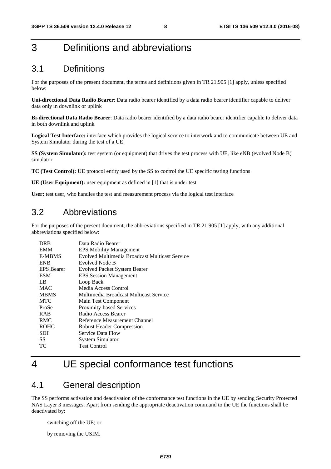# 3 Definitions and abbreviations

# 3.1 Definitions

For the purposes of the present document, the terms and definitions given in TR 21.905 [1] apply, unless specified below:

**Uni-directional Data Radio Bearer**: Data radio bearer identified by a data radio bearer identifier capable to deliver data only in downlink or uplink

**Bi-directional Data Radio Bearer**: Data radio bearer identified by a data radio bearer identifier capable to deliver data in both downlink and uplink

**Logical Test Interface:** interface which provides the logical service to interwork and to communicate between UE and System Simulator during the test of a UE

**SS (System Simulator):** test system (or equipment) that drives the test process with UE, like eNB (evolved Node B) simulator

**TC (Test Control):** UE protocol entity used by the SS to control the UE specific testing functions

**UE (User Equipment):** user equipment as defined in [1] that is under test

**User:** test user, who handles the test and measurement process via the logical test interface

# 3.2 Abbreviations

For the purposes of the present document, the abbreviations specified in TR 21.905 [1] apply, with any additional abbreviations specified below:

| <b>DRB</b>        | Data Radio Bearer                              |
|-------------------|------------------------------------------------|
| <b>EMM</b>        | <b>EPS Mobility Management</b>                 |
| <b>E-MBMS</b>     | Evolved Multimedia Broadcast Multicast Service |
| <b>ENB</b>        | Evolved Node B                                 |
| <b>EPS</b> Bearer | <b>Evolved Packet System Bearer</b>            |
| <b>ESM</b>        | <b>EPS</b> Session Management                  |
| LB                | Loop Back                                      |
| <b>MAC</b>        | Media Access Control                           |
| <b>MBMS</b>       | Multimedia Broadcast Multicast Service         |
| <b>MTC</b>        | Main Test Component                            |
| ProSe             | Proximity-based Services                       |
| <b>RAB</b>        | Radio Access Bearer                            |
| <b>RMC</b>        | Reference Measurement Channel                  |
| <b>ROHC</b>       | <b>Robust Header Compression</b>               |
| SDF               | Service Data Flow                              |
| SS.               | <b>System Simulator</b>                        |
| ТC                | <b>Test Control</b>                            |
|                   |                                                |

# 4 UE special conformance test functions

# 4.1 General description

The SS performs activation and deactivation of the conformance test functions in the UE by sending Security Protected NAS Layer 3 messages. Apart from sending the appropriate deactivation command to the UE the functions shall be deactivated by:

switching off the UE; or

by removing the USIM.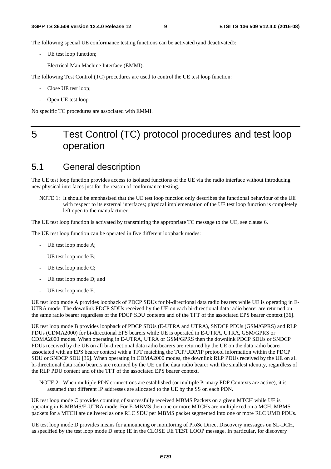The following special UE conformance testing functions can be activated (and deactivated):

- UE test loop function;
- Electrical Man Machine Interface (EMMI).

The following Test Control (TC) procedures are used to control the UE test loop function:

- Close UE test loop;
- Open UE test loop.

No specific TC procedures are associated with EMMI.

# 5 Test Control (TC) protocol procedures and test loop operation

# 5.1 General description

The UE test loop function provides access to isolated functions of the UE via the radio interface without introducing new physical interfaces just for the reason of conformance testing.

NOTE 1: It should be emphasised that the UE test loop function only describes the functional behaviour of the UE with respect to its external interfaces; physical implementation of the UE test loop function is completely left open to the manufacturer.

The UE test loop function is activated by transmitting the appropriate TC message to the UE, see clause 6.

The UE test loop function can be operated in five different loopback modes:

- UE test loop mode A;
- UE test loop mode B:
- UE test loop mode C;
- UE test loop mode D; and
- UE test loop mode E.

UE test loop mode A provides loopback of PDCP SDUs for bi-directional data radio bearers while UE is operating in E-UTRA mode. The downlink PDCP SDUs received by the UE on each bi-directional data radio bearer are returned on the same radio bearer regardless of the PDCP SDU contents and of the TFT of the associated EPS bearer context [36].

UE test loop mode B provides loopback of PDCP SDUs (E-UTRA and UTRA), SNDCP PDUs (GSM/GPRS) and RLP PDUs (CDMA2000) for bi-directional EPS bearers while UE is operated in E-UTRA, UTRA, GSM/GPRS or CDMA2000 modes. When operating in E-UTRA, UTRA or GSM/GPRS then the downlink PDCP SDUs or SNDCP PDUs received by the UE on all bi-directional data radio bearers are returned by the UE on the data radio bearer associated with an EPS bearer context with a TFT matching the TCP/UDP/IP protocol information within the PDCP SDU or SNDCP SDU [36]. When operating in CDMA2000 modes, the downlink RLP PDUs received by the UE on all bi-directional data radio bearers are returned by the UE on the data radio bearer with the smallest identity, regardless of the RLP PDU content and of the TFT of the associated EPS bearer context.

UE test loop mode C provides counting of successfully received MBMS Packets on a given MTCH while UE is operating in E-MBMS/E-UTRA mode. For E-MBMS then one or more MTCHs are multiplexed on a MCH. MBMS packets for a MTCH are delivered as one RLC SDU per MBMS packet segmented into one or more RLC UMD PDUs.

UE test loop mode D provides means for announcing or monitoring of ProSe Direct Discovery messages on SL-DCH, as specified by the test loop mode D setup IE in the CLOSE UE TEST LOOP message. In particular, for discovery

NOTE 2: When multiple PDN connections are established (or multiple Primary PDP Contexts are active), it is assumed that different IP addresses are allocated to the UE by the SS on each PDN.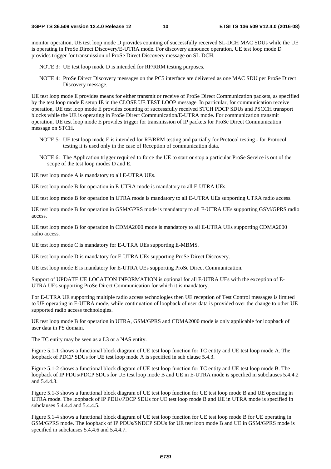monitor operation, UE test loop mode D provides counting of successfully received SL-DCH MAC SDUs while the UE is operating in ProSe Direct Discovery/E-UTRA mode. For discovery announce operation, UE test loop mode D provides trigger for transmission of ProSe Direct Discovery message on SL-DCH.

NOTE 3: UE test loop mode D is intended for RF/RRM testing purposes.

NOTE 4: ProSe Direct Discovery messages on the PC5 interface are delivered as one MAC SDU per ProSe Direct Discovery message.

UE test loop mode E provides means for either transmit or receive of ProSe Direct Communication packets, as specified by the test loop mode E setup IE in the CLOSE UE TEST LOOP message. In particular, for communication receive operation, UE test loop mode E provides counting of successfully received STCH PDCP SDUs and PSCCH transport blocks while the UE is operating in ProSe Direct Communication/E-UTRA mode. For communication transmit operation, UE test loop mode E provides trigger for transmission of IP packets for ProSe Direct Communication message on STCH.

- NOTE 5: UE test loop mode E is intended for RF/RRM testing and partially for Protocol testing for Protocol testing it is used only in the case of Reception of communication data.
- NOTE 6: The Application trigger required to force the UE to start or stop a particular ProSe Service is out of the scope of the test loop modes D and E.

UE test loop mode A is mandatory to all E-UTRA UEs.

UE test loop mode B for operation in E-UTRA mode is mandatory to all E-UTRA UEs.

UE test loop mode B for operation in UTRA mode is mandatory to all E-UTRA UEs supporting UTRA radio access.

UE test loop mode B for operation in GSM/GPRS mode is mandatory to all E-UTRA UEs supporting GSM/GPRS radio access.

UE test loop mode B for operation in CDMA2000 mode is mandatory to all E-UTRA UEs supporting CDMA2000 radio access.

UE test loop mode C is mandatory for E-UTRA UEs supporting E-MBMS.

UE test loop mode D is mandatory for E-UTRA UEs supporting ProSe Direct Discovery.

UE test loop mode E is mandatory for E-UTRA UEs supporting ProSe Direct Communication.

Support of UPDATE UE LOCATION INFORMATION is optional for all E-UTRA UEs with the exception of E-UTRA UEs supporting ProSe Direct Communication for which it is mandatory.

For E-UTRA UE supporting multiple radio access technologies then UE reception of Test Control messages is limited to UE operating in E-UTRA mode, while continuation of loopback of user data is provided over the change to other UE supported radio access technologies.

UE test loop mode B for operation in UTRA, GSM/GPRS and CDMA2000 mode is only applicable for loopback of user data in PS domain.

The TC entity may be seen as a L3 or a NAS entity.

Figure 5.1-1 shows a functional block diagram of UE test loop function for TC entity and UE test loop mode A. The loopback of PDCP SDUs for UE test loop mode A is specified in sub clause 5.4.3.

Figure 5.1-2 shows a functional block diagram of UE test loop function for TC entity and UE test loop mode B. The loopback of IP PDUs/PDCP SDUs for UE test loop mode B and UE in E-UTRA mode is specified in subclauses 5.4.4.2 and 5.4.4.3.

Figure 5.1-3 shows a functional block diagram of UE test loop function for UE test loop mode B and UE operating in UTRA mode. The loopback of IP PDUs/PDCP SDUs for UE test loop mode B and UE in UTRA mode is specified in subclauses 5.4.4.4 and 5.4.4.5.

Figure 5.1-4 shows a functional block diagram of UE test loop function for UE test loop mode B for UE operating in GSM/GPRS mode. The loopback of IP PDUs/SNDCP SDUs for UE test loop mode B and UE in GSM/GPRS mode is specified in subclauses 5.4.4.6 and 5.4.4.7.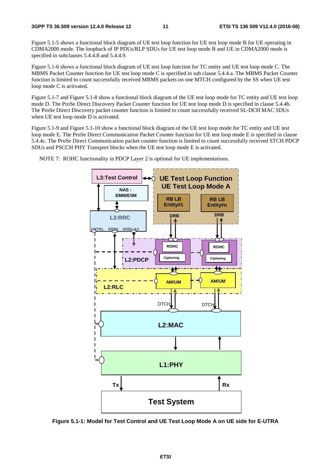Figure 5.1-5 shows a functional block diagram of UE test loop function for UE test loop mode B for UE operating in CDMA2000 mode. The loopback of IP PDUs/RLP SDUs for UE test loop mode B and UE in CDMA2000 mode is specified in subclauses 5.4.4.8 and 5.4.4.9.

Figure 5.1-6 shows a functional block diagram of UE test loop function for TC entity and UE test loop mode C. The MBMS Packet Counter function for UE test loop mode C is specified in sub clause 5.4.4.a. The MBMS Packet Counter function is limited to count successfully received MBMS packets on one MTCH configured by the SS when UE test loop mode C is activated.

Figure 5.1-7 and Figure 5.1-8 show a functional block diagram of the UE test loop mode for TC entity and UE test loop mode D. The ProSe Direct Discovery Packet Counter function for UE test loop mode D is specified in clause 5.4.4b. The ProSe Direct Discovery packet counter function is limited to count successfully received SL-DCH MAC SDUs when UE test loop mode D is activated.

Figure 5.1-9 and Figure 5.1-10 show a functional block diagram of the UE test loop mode for TC entity and UE test loop mode E. The ProSe Direct Communication Packet Counter function for UE test loop mode E is specified in clause 5.4.4c. The ProSe Direct Communication packet counter function is limited to count successfully received STCH PDCP SDUs and PSCCH PHY Transport blocks when the UE test loop mode E is activated.



NOTE 7: ROHC functionality in PDCP Layer 2 is optional for UE implementations.

**Figure 5.1-1: Model for Test Control and UE Test Loop Mode A on UE side for E-UTRA**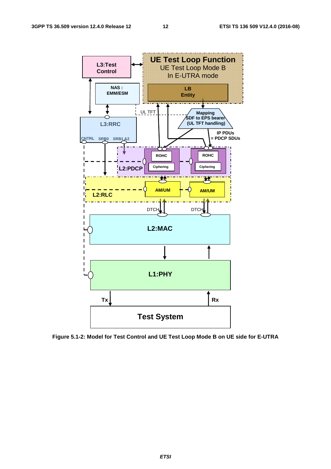

**Figure 5.1-2: Model for Test Control and UE Test Loop Mode B on UE side for E-UTRA**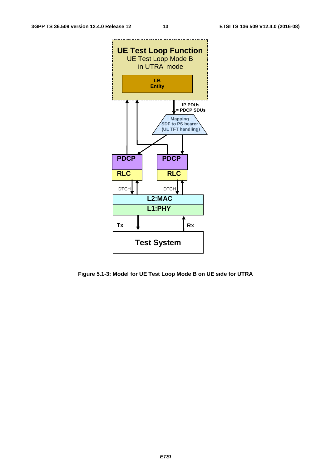

**Figure 5.1-3: Model for UE Test Loop Mode B on UE side for UTRA**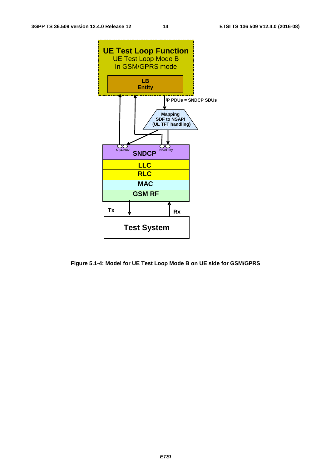

**Figure 5.1-4: Model for UE Test Loop Mode B on UE side for GSM/GPRS**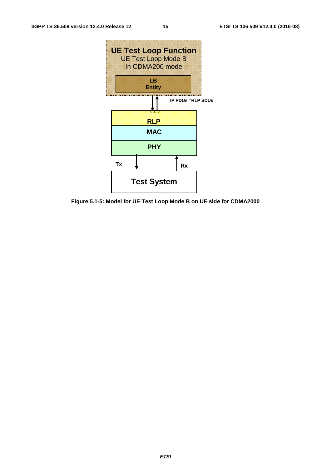

**Figure 5.1-5: Model for UE Test Loop Mode B on UE side for CDMA2000**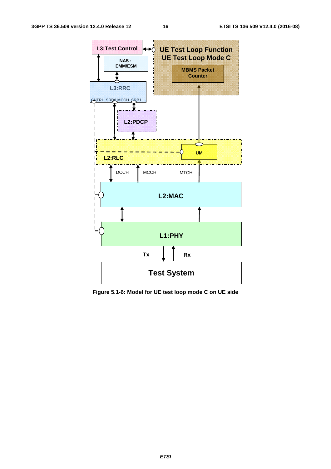

**Figure 5.1-6: Model for UE test loop mode C on UE side**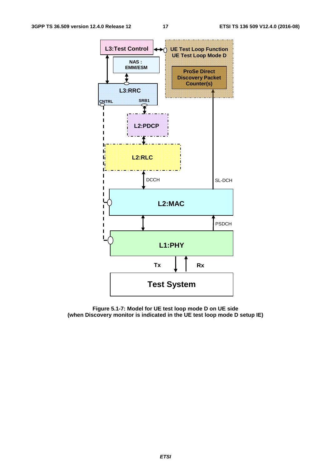

**Figure 5.1-7: Model for UE test loop mode D on UE side (when Discovery monitor is indicated in the UE test loop mode D setup IE)**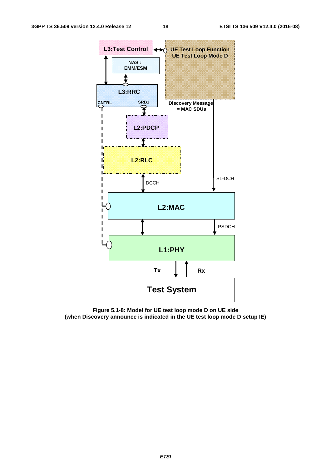

**Figure 5.1-8: Model for UE test loop mode D on UE side (when Discovery announce is indicated in the UE test loop mode D setup IE)**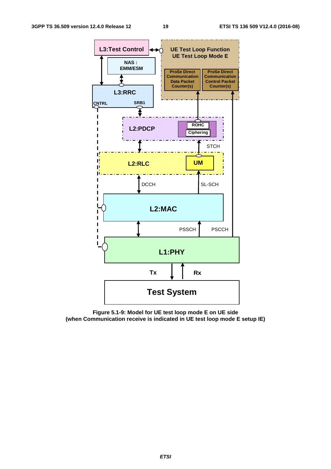

**Figure 5.1-9: Model for UE test loop mode E on UE side (when Communication receive is indicated in UE test loop mode E setup IE)**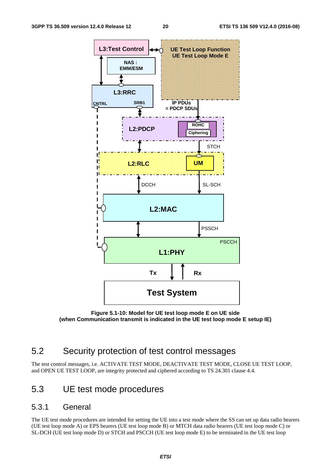

**Figure 5.1-10: Model for UE test loop mode E on UE side (when Communication transmit is indicated in the UE test loop mode E setup IE)** 

# 5.2 Security protection of test control messages

The test control messages, i.e. ACTIVATE TEST MODE, DEACTIVATE TEST MODE, CLOSE UE TEST LOOP, and OPEN UE TEST LOOP, are integrity protected and ciphered according to TS 24.301 clause 4.4.

# 5.3 UE test mode procedures

# 5.3.1 General

The UE test mode procedures are intended for setting the UE into a test mode where the SS can set up data radio bearers (UE test loop mode A) or EPS bearers (UE test loop mode B) or MTCH data radio bearers (UE test loop mode C) or SL-DCH (UE test loop mode D) or STCH and PSCCH (UE test loop mode E) to be terminated in the UE test loop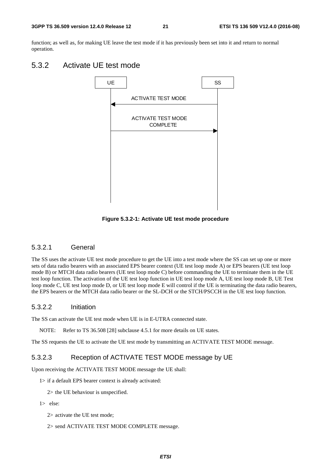function; as well as, for making UE leave the test mode if it has previously been set into it and return to normal operation.

# 5.3.2 Activate UE test mode



**Figure 5.3.2-1: Activate UE test mode procedure** 

### 5.3.2.1 General

The SS uses the activate UE test mode procedure to get the UE into a test mode where the SS can set up one or more sets of data radio bearers with an associated EPS bearer context (UE test loop mode A) or EPS bearers (UE test loop mode B) or MTCH data radio bearers (UE test loop mode C) before commanding the UE to terminate them in the UE test loop function. The activation of the UE test loop function in UE test loop mode A, UE test loop mode B, UE Test loop mode C, UE test loop mode D, or UE test loop mode E will control if the UE is terminating the data radio bearers, the EPS bearers or the MTCH data radio bearer or the SL-DCH or the STCH/PSCCH in the UE test loop function.

#### 5.3.2.2 Initiation

The SS can activate the UE test mode when UE is in E-UTRA connected state.

NOTE: Refer to TS 36.508 [28] subclause 4.5.1 for more details on UE states.

The SS requests the UE to activate the UE test mode by transmitting an ACTIVATE TEST MODE message.

### 5.3.2.3 Reception of ACTIVATE TEST MODE message by UE

Upon receiving the ACTIVATE TEST MODE message the UE shall:

1> if a default EPS bearer context is already activated:

2> the UE behaviour is unspecified.

1> else:

2> activate the UE test mode;

2> send ACTIVATE TEST MODE COMPLETE message.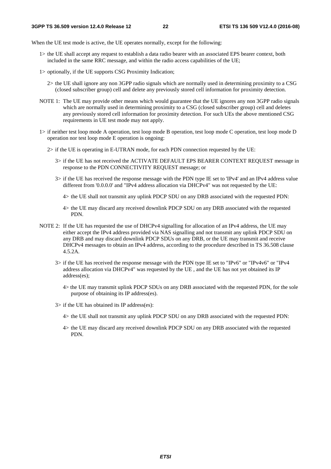When the UE test mode is active, the UE operates normally, except for the following:

- 1> the UE shall accept any request to establish a data radio bearer with an associated EPS bearer context, both included in the same RRC message, and within the radio access capabilities of the UE;
- 1> optionally, if the UE supports CSG Proximity Indication;
	- 2> the UE shall ignore any non 3GPP radio signals which are normally used in determining proximity to a CSG (closed subscriber group) cell and delete any previously stored cell information for proximity detection.
- NOTE 1: The UE may provide other means which would guarantee that the UE ignores any non 3GPP radio signals which are normally used in determining proximity to a CSG (closed subscriber group) cell and deletes any previously stored cell information for proximity detection. For such UEs the above mentioned CSG requirements in UE test mode may not apply.
- 1> if neither test loop mode A operation, test loop mode B operation, test loop mode C operation, test loop mode D operation nor test loop mode E operation is ongoing:
	- 2> if the UE is operating in E-UTRAN mode, for each PDN connection requested by the UE:
		- 3> if the UE has not received the ACTIVATE DEFAULT EPS BEARER CONTEXT REQUEST message in response to the PDN CONNECTIVITY REQUEST message; or
		- 3> if the UE has received the response message with the PDN type IE set to 'IPv4' and an IPv4 address value different from '0.0.0.0' and "IPv4 address allocation via DHCPv4" was not requested by the UE:
			- 4> the UE shall not transmit any uplink PDCP SDU on any DRB associated with the requested PDN:
			- 4> the UE may discard any received downlink PDCP SDU on any DRB associated with the requested PDN.
- NOTE 2: If the UE has requested the use of DHCPv4 signalling for allocation of an IPv4 address, the UE may either accept the IPv4 address provided via NAS signalling and not transmit any uplink PDCP SDU on any DRB and may discard downlink PDCP SDUs on any DRB, or the UE may transmit and receive DHCPv4 messages to obtain an IPv4 address, according to the procedure described in TS 36.508 clause 4.5.2A.
	- 3> if the UE has received the response message with the PDN type IE set to "IPv6" or "IPv4v6" or "IPv4 address allocation via DHCPv4" was requested by the UE , and the UE has not yet obtained its IP address(es);
		- 4> the UE may transmit uplink PDCP SDUs on any DRB associated with the requested PDN, for the sole purpose of obtaining its IP address(es).
	- 3> if the UE has obtained its IP address(es):
		- 4> the UE shall not transmit any uplink PDCP SDU on any DRB associated with the requested PDN:
		- 4> the UE may discard any received downlink PDCP SDU on any DRB associated with the requested PDN.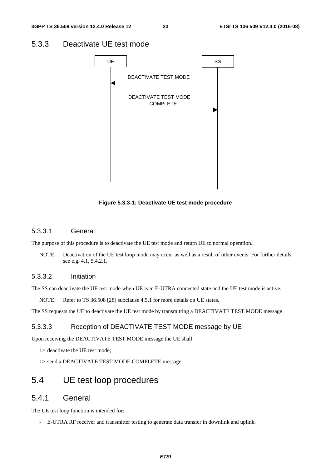# 5.3.3 Deactivate UE test mode



**Figure 5.3.3-1: Deactivate UE test mode procedure** 

### 5.3.3.1 General

The purpose of this procedure is to deactivate the UE test mode and return UE to normal operation.

NOTE: Deactivation of the UE test loop mode may occur as well as a result of other events. For further details see e.g. 4.1, 5.4.2.1.

### 5.3.3.2 Initiation

The SS can deactivate the UE test mode when UE is in E-UTRA connected state and the UE test mode is active.

NOTE: Refer to TS 36.508 [28] subclause 4.5.1 for more details on UE states.

The SS requests the UE to deactivate the UE test mode by transmitting a DEACTIVATE TEST MODE message.

### 5.3.3.3 Reception of DEACTIVATE TEST MODE message by UE

Upon receiving the DEACTIVATE TEST MODE message the UE shall:

1> deactivate the UE test mode;

1> send a DEACTIVATE TEST MODE COMPLETE message.

# 5.4 UE test loop procedures

# 5.4.1 General

The UE test loop function is intended for:

- E-UTRA RF receiver and transmitter testing to generate data transfer in downlink and uplink.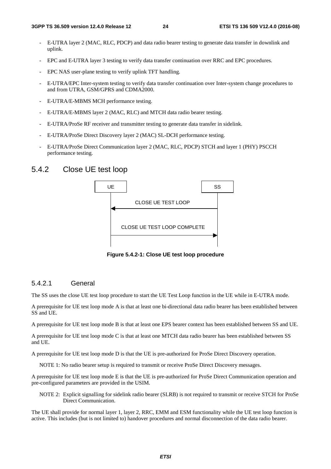- E-UTRA layer 2 (MAC, RLC, PDCP) and data radio bearer testing to generate data transfer in downlink and uplink.
- EPC and E-UTRA layer 3 testing to verify data transfer continuation over RRC and EPC procedures.
- EPC NAS user-plane testing to verify uplink TFT handling.
- E-UTRA/EPC Inter-system testing to verify data transfer continuation over Inter-system change procedures to and from UTRA, GSM/GPRS and CDMA2000.
- E-UTRA/E-MBMS MCH performance testing.
- E-UTRA/E-MBMS layer 2 (MAC, RLC) and MTCH data radio bearer testing.
- E-UTRA/ProSe RF receiver and transmitter testing to generate data transfer in sidelink.
- E-UTRA/ProSe Direct Discovery layer 2 (MAC) SL-DCH performance testing.
- E-UTRA/ProSe Direct Communication layer 2 (MAC, RLC, PDCP) STCH and layer 1 (PHY) PSCCH performance testing.

# 5.4.2 Close UE test loop



**Figure 5.4.2-1: Close UE test loop procedure** 

### 5.4.2.1 General

The SS uses the close UE test loop procedure to start the UE Test Loop function in the UE while in E-UTRA mode.

A prerequisite for UE test loop mode A is that at least one bi-directional data radio bearer has been established between SS and UE.

A prerequisite for UE test loop mode B is that at least one EPS bearer context has been established between SS and UE.

A prerequisite for UE test loop mode C is that at least one MTCH data radio bearer has been established between SS and UE.

A prerequisite for UE test loop mode D is that the UE is pre-authorized for ProSe Direct Discovery operation.

NOTE 1: No radio bearer setup is required to transmit or receive ProSe Direct Discovery messages.

A prerequisite for UE test loop mode E is that the UE is pre-authorized for ProSe Direct Communication operation and pre-configured parameters are provided in the USIM.

NOTE 2: Explicit signalling for sidelink radio bearer (SLRB) is not required to transmit or receive STCH for ProSe Direct Communication.

The UE shall provide for normal layer 1, layer 2, RRC, EMM and ESM functionality while the UE test loop function is active. This includes (but is not limited to) handover procedures and normal disconnection of the data radio bearer.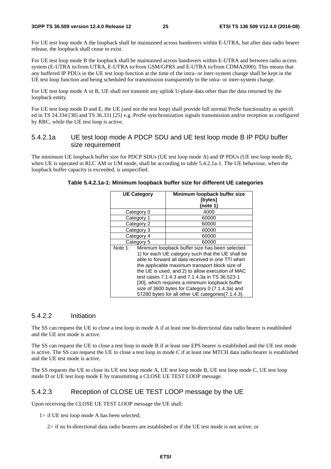For UE test loop mode A the loopback shall be maintained across handovers within E-UTRA, but after data radio bearer release, the loopback shall cease to exist.

For UE test loop mode B the loopback shall be maintained across handovers within E-UTRA and between radio access system (E-UTRA to/from UTRA, E-UTRA to/from GSM/GPRS and E-UTRA to/from CDMA2000). This means that any buffered IP PDUs in the UE test loop function at the time of the intra- or inter-system change shall be kept in the UE test loop function and being scheduled for transmission transparently to the intra- or inter-system change.

For UE test loop mode A or B, UE shall not transmit any uplink U-plane data other than the data returned by the loopback entity.

For UE test loop mode D and E, the UE (and not the test loop) shall provide full normal ProSe functionality as specifi ed in TS 24.334 [38] and TS 36.331 [25] e.g. ProSe synchronization signals transmission and/or reception as configured by RRC, while the UE test loop is active.

### 5.4.2.1a UE test loop mode A PDCP SDU and UE test loop mode B IP PDU buffer size requirement

The minimum UE loopback buffer size for PDCP SDUs (UE test loop mode A) and IP PDUs (UE test loop mode B), when UE is operated in RLC AM or UM mode, shall be according to table 5.4.2.1a-1. The UE behaviour, when the loopback buffer capacity is exceeded, is unspecified.

|         | <b>UE Category</b> | Minimum loopback buffer size                       |
|---------|--------------------|----------------------------------------------------|
|         |                    | <b>[bytes]</b>                                     |
|         |                    | (note 1)                                           |
|         | Category 0         | 4000                                               |
|         | Category 1         | 60000                                              |
|         | Category 2         | 60000                                              |
|         | Category 3         | 60000                                              |
|         | Category 4         | 60000                                              |
|         | Category 5         | 60000                                              |
| Note 1: |                    | Minimum loopback buffer size has been selected     |
|         |                    | 1) for each UE category such that the UE shall be  |
|         |                    | able to forward all data received in one TTI when  |
|         |                    | the applicable maximum transport block size of     |
|         |                    | the UE is used, and 2) to allow execution of MAC   |
|         |                    | test cases 7.1.4.3 and 7.1.4.3a in TS 36.523-1     |
|         |                    | [30], which requires a minimum loopback buffer     |
|         |                    | size of 3600 bytes for Category 0 (7.1.4.3a) and   |
|         |                    | 57280 bytes for all other UE categories (7.1.4.3). |

**Table 5.4.2.1a-1: Minimum loopback buffer size for different UE categories** 

### 5.4.2.2 Initiation

The SS can request the UE to close a test loop in mode A if at least one bi-directional data radio bearer is established and the UE test mode is active.

The SS can request the UE to close a test loop in mode B if at least one EPS bearer is established and the UE test mode is active. The SS can request the UE to close a test loop in mode C if at least one MTCH data radio bearer is established and the UE test mode is active.

The SS requests the UE to close its UE test loop mode A, UE test loop mode B, UE test loop mode C, UE test loop mode D or UE test loop mode E by transmitting a CLOSE UE TEST LOOP message.

### 5.4.2.3 Reception of CLOSE UE TEST LOOP message by the UE

Upon receiving the CLOSE UE TEST LOOP message the UE shall:

1> if UE test loop mode A has been selected;

2> if no bi-directional data radio bearers are established or if the UE test mode is not active; or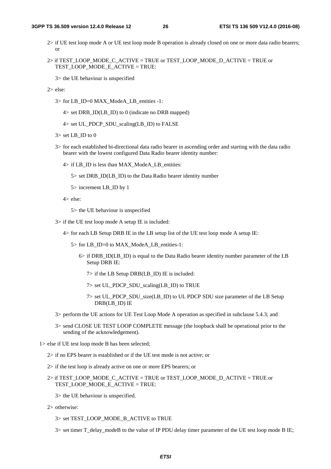- 2> if UE test loop mode A or UE test loop mode B operation is already closed on one or more data radio bearers; or
- $2$  if TEST\_LOOP\_MODE\_C\_ACTIVE = TRUE or TEST\_LOOP\_MODE\_D\_ACTIVE = TRUE or TEST\_LOOP\_MODE\_E\_ACTIVE = TRUE:

3> the UE behaviour is unspecified

- 2> else:
	- 3> for LB\_ID=0 MAX\_ModeA\_LB\_entities -1:

4> set DRB\_ID(LB\_ID) to 0 (indicate no DRB mapped)

- $4>$  set UL\_PDCP\_SDU\_scaling(LB\_ID) to FALSE
- $3$  set LB\_ID to 0
- 3> for each established bi-directional data radio bearer in ascending order and starting with the data radio bearer with the lowest configured Data Radio bearer identity number:
	- 4> if LB\_ID is less than MAX\_ModeA\_LB\_entities:
		- 5> set DRB\_ID(LB\_ID) to the Data Radio bearer identity number
		- 5> increment LB\_ID by 1
	- 4> else:
		- 5> the UE behaviour is unspecified
- 3> if the UE test loop mode A setup IE is included:
	- 4> for each LB Setup DRB IE in the LB setup list of the UE test loop mode A setup IE:
		- 5> for LB\_ID=0 to MAX\_ModeA\_LB\_entities-1:
			- $6>$  if DRB ID(LB ID) is equal to the Data Radio bearer identity number parameter of the LB Setup DRB IE:
				- 7> if the LB Setup DRB(LB\_ID) IE is included:
				- $7$  set UL\_PDCP\_SDU\_scaling(LB\_ID) to TRUE
				- 7> set UL\_PDCP\_SDU\_size(LB\_ID) to UL PDCP SDU size parameter of the LB Setup DRB(LB\_ID) IE
- 3> perform the UE actions for UE Test Loop Mode A operation as specified in subclause 5.4.3; and
- 3> send CLOSE UE TEST LOOP COMPLETE message (the loopback shall be operational prior to the sending of the acknowledgement).
- 1> else if UE test loop mode B has been selected;
	- 2> if no EPS bearer is established or if the UE test mode is not active; or
	- 2> if the test loop is already active on one or more EPS bearers; or
	- 2> if TEST\_LOOP\_MODE\_C\_ACTIVE = TRUE or TEST\_LOOP\_MODE\_D\_ACTIVE = TRUE or TEST\_LOOP\_MODE\_E\_ACTIVE = TRUE:
		- 3> the UE behaviour is unspecified.
	- 2> otherwise:
		- 3> set TEST\_LOOP\_MODE\_B\_ACTIVE to TRUE
		- $3$  set timer T\_delay\_modeB to the value of IP PDU delay timer parameter of the UE test loop mode B IE;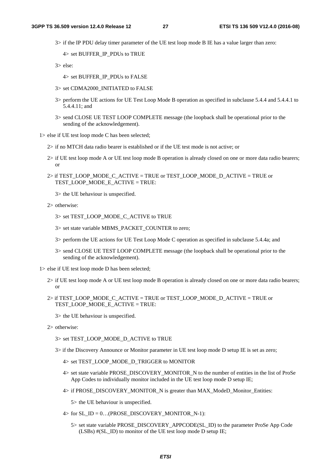3> if the IP PDU delay timer parameter of the UE test loop mode B IE has a value larger than zero:

4> set BUFFER\_IP\_PDUs to TRUE

3> else:

- 4> set BUFFER\_IP\_PDUs to FALSE
- 3> set CDMA2000\_INITIATED to FALSE
- 3> perform the UE actions for UE Test Loop Mode B operation as specified in subclause 5.4.4 and 5.4.4.1 to 5.4.4.11; and
- 3> send CLOSE UE TEST LOOP COMPLETE message (the loopback shall be operational prior to the sending of the acknowledgement).

1> else if UE test loop mode C has been selected;

- 2> if no MTCH data radio bearer is established or if the UE test mode is not active; or
- 2> if UE test loop mode A or UE test loop mode B operation is already closed on one or more data radio bearers; or
- 2> if TEST\_LOOP\_MODE\_C\_ACTIVE = TRUE or TEST\_LOOP\_MODE\_D\_ACTIVE = TRUE or TEST\_LOOP\_MODE\_E\_ACTIVE = TRUE:

3> the UE behaviour is unspecified.

- 2> otherwise:
	- 3> set TEST\_LOOP\_MODE\_C\_ACTIVE to TRUE
	- 3> set state variable MBMS\_PACKET\_COUNTER to zero;
	- 3> perform the UE actions for UE Test Loop Mode C operation as specified in subclause 5.4.4a; and
	- 3> send CLOSE UE TEST LOOP COMPLETE message (the loopback shall be operational prior to the sending of the acknowledgement).
- 1> else if UE test loop mode D has been selected;
	- 2> if UE test loop mode A or UE test loop mode B operation is already closed on one or more data radio bearers; or
	- 2> if TEST\_LOOP\_MODE\_C\_ACTIVE = TRUE or TEST\_LOOP\_MODE\_D\_ACTIVE = TRUE or TEST\_LOOP\_MODE\_E\_ACTIVE = TRUE:
		- 3> the UE behaviour is unspecified.
	- 2> otherwise:
		- 3> set TEST\_LOOP\_MODE\_D\_ACTIVE to TRUE
		- 3> if the Discovery Announce or Monitor parameter in UE test loop mode D setup IE is set as zero;
			- 4> set TEST\_LOOP\_MODE\_D\_TRIGGER to MONITOR
			- 4> set state variable PROSE\_DISCOVERY\_MONITOR\_N to the number of entities in the list of ProSe App Codes to individually monitor included in the UE test loop mode D setup IE;
			- 4> if PROSE\_DISCOVERY\_MONITOR\_N is greater than MAX\_ModeD\_Monitor\_Entities:

5> the UE behaviour is unspecified.

- $4>$  for SL\_ID = 0...(PROSE\_DISCOVERY\_MONITOR\_N-1):
	- 5> set state variable PROSE\_DISCOVERY\_APPCODE(SL\_ID) to the parameter ProSe App Code (LSBs) #(SL\_ID) to monitor of the UE test loop mode D setup IE;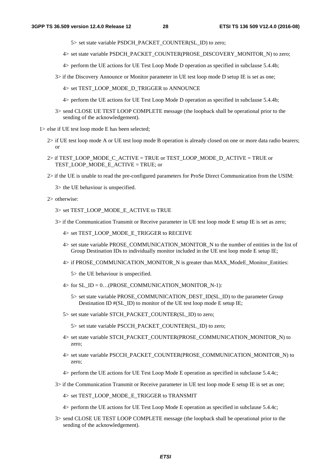5> set state variable PSDCH\_PACKET\_COUNTER(SL\_ID) to zero;

- 4> set state variable PSDCH\_PACKET\_COUNTER(PROSE\_DISCOVERY\_MONITOR\_N) to zero;
- 4> perform the UE actions for UE Test Loop Mode D operation as specified in subclause 5.4.4b;
- 3> if the Discovery Announce or Monitor parameter in UE test loop mode D setup IE is set as one;
	- 4> set TEST\_LOOP\_MODE\_D\_TRIGGER to ANNOUNCE
	- 4> perform the UE actions for UE Test Loop Mode D operation as specified in subclause 5.4.4b;
- 3> send CLOSE UE TEST LOOP COMPLETE message (the loopback shall be operational prior to the sending of the acknowledgement).

1> else if UE test loop mode E has been selected;

- 2> if UE test loop mode A or UE test loop mode B operation is already closed on one or more data radio bearers; or
- $2$  if TEST\_LOOP\_MODE\_C\_ACTIVE = TRUE or TEST\_LOOP\_MODE\_D\_ACTIVE = TRUE or TEST\_LOOP\_MODE\_E\_ACTIVE = TRUE; or
- 2> if the UE is unable to read the pre-configured parameters for ProSe Direct Communication from the USIM:

3> the UE behaviour is unspecified.

2> otherwise:

- 3> set TEST\_LOOP\_MODE\_E\_ACTIVE to TRUE
- 3> if the Communication Transmit or Receive parameter in UE test loop mode E setup IE is set as zero;
	- 4> set TEST\_LOOP\_MODE\_E\_TRIGGER to RECEIVE
	- 4> set state variable PROSE\_COMMUNICATION\_MONITOR\_N to the number of entities in the list of Group Destination IDs to individually monitor included in the UE test loop mode E setup IE;
	- 4> if PROSE\_COMMUNICATION\_MONITOR\_N is greater than MAX\_ModeE\_Monitor\_Entities:
		- 5> the UE behaviour is unspecified.
	- $4>$  for SL\_ID = 0...(PROSE\_COMMUNICATION\_MONITOR\_N-1):
		- 5> set state variable PROSE\_COMMUNICATION\_DEST\_ID(SL\_ID) to the parameter Group Destination ID  $\#$ (SL\_ID) to monitor of the UE test loop mode E setup IE;
	- 5> set state variable STCH\_PACKET\_COUNTER(SL\_ID) to zero;

5> set state variable PSCCH\_PACKET\_COUNTER(SL\_ID) to zero;

- 4> set state variable STCH\_PACKET\_COUNTER(PROSE\_COMMUNICATION\_MONITOR\_N) to zero;
- 4> set state variable PSCCH\_PACKET\_COUNTER(PROSE\_COMMUNICATION\_MONITOR\_N) to zero;
- 4> perform the UE actions for UE Test Loop Mode E operation as specified in subclause 5.4.4c;
- 3> if the Communication Transmit or Receive parameter in UE test loop mode E setup IE is set as one;
	- 4> set TEST\_LOOP\_MODE\_E\_TRIGGER to TRANSMIT
	- 4> perform the UE actions for UE Test Loop Mode E operation as specified in subclause 5.4.4c;
- 3> send CLOSE UE TEST LOOP COMPLETE message (the loopback shall be operational prior to the sending of the acknowledgement).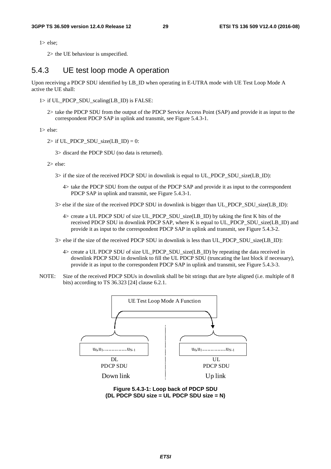1> else;

2> the UE behaviour is unspecified.

# 5.4.3 UE test loop mode A operation

Upon receiving a PDCP SDU identified by LB\_ID when operating in E-UTRA mode with UE Test Loop Mode A active the UE shall:

- $1>$  if UL\_PDCP\_SDU\_scaling(LB\_ID) is FALSE:
	- 2> take the PDCP SDU from the output of the PDCP Service Access Point (SAP) and provide it as input to the correspondent PDCP SAP in uplink and transmit, see Figure 5.4.3-1.

1> else:

 $2>$  if UL\_PDCP\_SDU\_size(LB\_ID) = 0:

3> discard the PDCP SDU (no data is returned).

2> else:

- 3> if the size of the received PDCP SDU in downlink is equal to UL\_PDCP\_SDU\_size(LB\_ID):
	- 4> take the PDCP SDU from the output of the PDCP SAP and provide it as input to the correspondent PDCP SAP in uplink and transmit, see Figure 5.4.3-1.
- 3> else if the size of the received PDCP SDU in downlink is bigger than UL\_PDCP\_SDU\_size(LB\_ID):
	- 4> create a UL PDCP SDU of size UL\_PDCP\_SDU\_size(LB\_ID) by taking the first K bits of the received PDCP SDU in downlink PDCP SAP, where K is equal to UL\_PDCP\_SDU\_size(LB\_ID) and provide it as input to the correspondent PDCP SAP in uplink and transmit, see Figure 5.4.3-2.
- 3> else if the size of the received PDCP SDU in downlink is less than UL\_PDCP\_SDU\_size(LB\_ID):
	- 4> create a UL PDCP SDU of size UL\_PDCP\_SDU\_size(LB\_ID) by repeating the data received in downlink PDCP SDU in downlink to fill the UL PDCP SDU (truncating the last block if necessary), provide it as input to the correspondent PDCP SAP in uplink and transmit, see Figure 5.4.3-3.
- NOTE: Size of the received PDCP SDUs in downlink shall be bit strings that are byte aligned (i.e. multiple of 8 bits) according to TS 36.323 [24] clause 6.2.1.



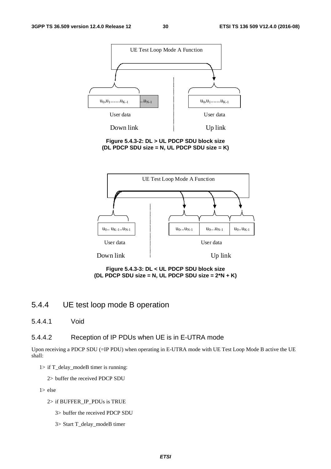

**Figure 5.4.3-2: DL > UL PDCP SDU block size (DL PDCP SDU size = N, UL PDCP SDU size = K)** 



**Figure 5.4.3-3: DL < UL PDCP SDU block size (DL PDCP SDU size = N, UL PDCP SDU size = 2\*N + K)** 

# 5.4.4 UE test loop mode B operation

5.4.4.1 Void

### 5.4.4.2 Reception of IP PDUs when UE is in E-UTRA mode

Upon receiving a PDCP SDU (=IP PDU) when operating in E-UTRA mode with UE Test Loop Mode B active the UE shall:

1> if T\_delay\_modeB timer is running:

2> buffer the received PDCP SDU

1> else

- 2> if BUFFER\_IP\_PDUs is TRUE
	- 3> buffer the received PDCP SDU
	- 3> Start T\_delay\_modeB timer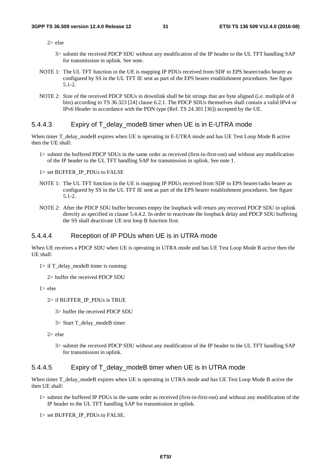2> else

- 3> submit the received PDCP SDU without any modification of the IP header to the UL TFT handling SAP for transmission in uplink. See note.
- NOTE 1: The UL TFT function in the UE is mapping IP PDUs received from SDF to EPS bearer/radio bearer as configured by SS in the UL TFT IE sent as part of the EPS bearer establishment procedures. See figure 5.1-2.
- NOTE 2: Size of the received PDCP SDUs in downlink shall be bit strings that are byte aligned (i.e. multiple of 8 bits) according to TS 36.323 [24] clause 6.2.1. The PDCP SDUs themselves shall contain a valid IPv4 or IPv6 Header in accordance with the PDN type (Ref. TS 24.301 [36]) accepted by the UE.

### 5.4.4.3 Expiry of T\_delay\_modeB timer when UE is in E-UTRA mode

When timer T\_delay\_modeB expires when UE is operating in E-UTRA mode and has UE Test Loop Mode B active then the UE shall:

1> submit the buffered PDCP SDUs in the same order as received (first-in-first-out) and without any modification of the IP header to the UL TFT handling SAP for transmission in uplink. See note 1.

1> set BUFFER\_IP\_PDUs to FALSE

- NOTE 1: The UL TFT function in the UE is mapping IP PDUs received from SDF to EPS bearer/radio bearer as configured by SS in the UL TFT IE sent as part of the EPS bearer establishment procedures. See figure 5.1-2.
- NOTE 2: After the PDCP SDU buffer becomes empty the loopback will return any received PDCP SDU in uplink directly as specified in clause 5.4.4.2. In order to reactivate the loopback delay and PDCP SDU buffering the SS shall deactivate UE test loop B function first.

### 5.4.4.4 Reception of IP PDUs when UE is in UTRA mode

When UE receives a PDCP SDU when UE is operating in UTRA mode and has UE Test Loop Mode B active then the UE shall:

- $1>$  if T\_delay\_modeB timer is running:
	- 2> buffer the received PDCP SDU

1> else

- 2> if BUFFER\_IP\_PDUs is TRUE
	- 3> buffer the received PDCP SDU
	- 3> Start T\_delay\_modeB timer
- 2> else
	- 3> submit the received PDCP SDU without any modification of the IP header to the UL TFT handling SAP for transmission in uplink.

#### 5.4.4.5 Expiry of T\_delay\_modeB timer when UE is in UTRA mode

When timer T\_delay\_modeB expires when UE is operating in UTRA mode and has UE Test Loop Mode B active the then UE shall:

- 1> submit the buffered IP PDUs in the same order as received (first-in-first-out) and without any modification of the IP header to the UL TFT handling SAP for transmission in uplink.
- 1> set BUFFER\_IP\_PDUs to FALSE.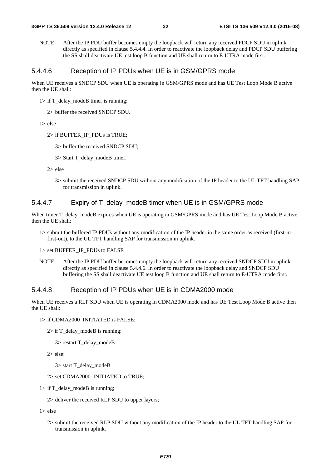NOTE: After the IP PDU buffer becomes empty the loopback will return any received PDCP SDU in uplink directly as specified in clause 5.4.4.4. In order to reactivate the loopback delay and PDCP SDU buffering the SS shall deactivate UE test loop B function and UE shall return to E-UTRA mode first.

### 5.4.4.6 Reception of IP PDUs when UE is in GSM/GPRS mode

When UE receives a SNDCP SDU when UE is operating in GSM/GPRS mode and has UE Test Loop Mode B active then the UE shall:

- $1>$  if T\_delay\_modeB timer is running:
	- 2> buffer the received SNDCP SDU.

1> else

- 2> if BUFFER\_IP\_PDUs is TRUE;
	- 3> buffer the received SNDCP SDU;
	- 3> Start T\_delay\_modeB timer.

2> else

3> submit the received SNDCP SDU without any modification of the IP header to the UL TFT handling SAP for transmission in uplink.

### 5.4.4.7 Expiry of T\_delay\_modeB timer when UE is in GSM/GPRS mode

When timer T\_delay\_modeB expires when UE is operating in GSM/GPRS mode and has UE Test Loop Mode B active then the UE shall:

1> submit the buffered IP PDUs without any modification of the IP header in the same order as received (first-infirst-out), to the UL TFT handling SAP for transmission in uplink.

1> set BUFFER\_IP\_PDUs to FALSE

NOTE: After the IP PDU buffer becomes empty the loopback will return any received SNDCP SDU in uplink directly as specified in clause 5.4.4.6. In order to reactivate the loopback delay and SNDCP SDU buffering the SS shall deactivate UE test loop B function and UE shall return to E-UTRA mode first.

### 5.4.4.8 Reception of IP PDUs when UE is in CDMA2000 mode

When UE receives a RLP SDU when UE is operating in CDMA2000 mode and has UE Test Loop Mode B active then the UE shall:

#### 1> if CDMA2000\_INITIATED is FALSE:

 $2>$  if T\_delay\_modeB is running:

3> restart T\_delay\_modeB

2> else:

3> start T\_delay\_modeB

#### 2> set CDMA2000\_INITIATED to TRUE;

- $1>$  if T\_delay\_modeB is running;
	- 2> deliver the received RLP SDU to upper layers;

1> else

2> submit the received RLP SDU without any modification of the IP header to the UL TFT handling SAP for transmission in uplink.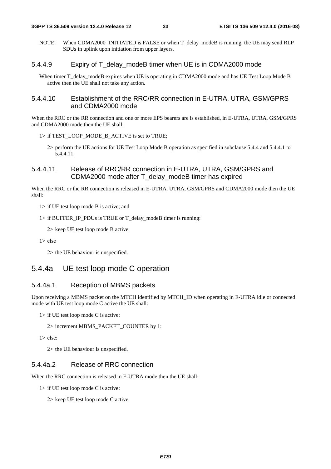NOTE: When CDMA2000\_INITIATED is FALSE or when T\_delay\_modeB is running, the UE may send RLP SDUs in uplink upon initiation from upper layers.

### 5.4.4.9 Expiry of T\_delay\_modeB timer when UE is in CDMA2000 mode

When timer T\_delay\_modeB expires when UE is operating in CDMA2000 mode and has UE Test Loop Mode B active then the UE shall not take any action.

### 5.4.4.10 Establishment of the RRC/RR connection in E-UTRA, UTRA, GSM/GPRS and CDMA2000 mode

When the RRC or the RR connection and one or more EPS bearers are is established, in E-UTRA, UTRA, GSM/GPRS and CDMA2000 mode then the UE shall:

#### 1> if TEST\_LOOP\_MODE\_B\_ACTIVE is set to TRUE;

2> perform the UE actions for UE Test Loop Mode B operation as specified in subclause 5.4.4 and 5.4.4.1 to 5.4.4.11.

### 5.4.4.11 Release of RRC/RR connection in E-UTRA, UTRA, GSM/GPRS and CDMA2000 mode after T\_delay\_modeB timer has expired

When the RRC or the RR connection is released in E-UTRA, UTRA, GSM/GPRS and CDMA2000 mode then the UE shall:

1> if UE test loop mode B is active; and

1> if BUFFER\_IP\_PDUs is TRUE or T\_delay\_modeB timer is running:

2> keep UE test loop mode B active

1> else

2> the UE behaviour is unspecified.

# 5.4.4a UE test loop mode C operation

### 5.4.4a.1 Reception of MBMS packets

Upon receiving a MBMS packet on the MTCH identified by MTCH\_ID when operating in E-UTRA idle or connected mode with UE test loop mode C active the UE shall:

 $1$ > if UE test loop mode C is active;

2> increment MBMS\_PACKET\_COUNTER by 1:

1> else:

2> the UE behaviour is unspecified.

### 5.4.4a.2 Release of RRC connection

When the RRC connection is released in E-UTRA mode then the UE shall:

1> if UE test loop mode C is active:

2> keep UE test loop mode C active.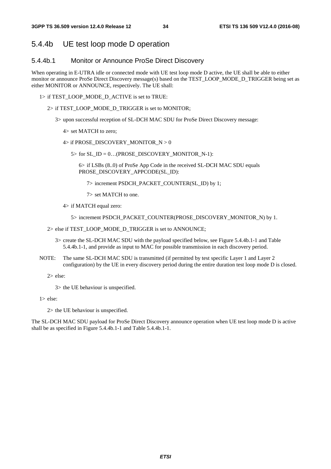# 5.4.4b UE test loop mode D operation

### 5.4.4b.1 Monitor or Announce ProSe Direct Discovery

When operating in E-UTRA idle or connected mode with UE test loop mode D active, the UE shall be able to either monitor or announce ProSe Direct Discovery message(s) based on the TEST\_LOOP\_MODE\_D\_TRIGGER being set as either MONITOR or ANNOUNCE, respectively. The UE shall:

- 1> if TEST\_LOOP\_MODE\_D\_ACTIVE is set to TRUE:
	- 2> if TEST\_LOOP\_MODE\_D\_TRIGGER is set to MONITOR;
		- 3> upon successful reception of SL-DCH MAC SDU for ProSe Direct Discovery message:
			- 4> set MATCH to zero;
			- 4> if PROSE\_DISCOVERY\_MONITOR\_N > 0
				- $5>$  for SL\_ID = 0...(PROSE\_DISCOVERY\_MONITOR\_N-1):

 6> if LSBs (8..0) of ProSe App Code in the received SL-DCH MAC SDU equals PROSE\_DISCOVERY\_APPCODE(SL\_ID):

- 7> increment PSDCH\_PACKET\_COUNTER(SL\_ID) by 1;
- 7> set MATCH to one.
- 4> if MATCH equal zero:

5> increment PSDCH\_PACKET\_COUNTER(PROSE\_DISCOVERY\_MONITOR\_N) by 1.

- 2> else if TEST\_LOOP\_MODE\_D\_TRIGGER is set to ANNOUNCE;
	- 3> create the SL-DCH MAC SDU with the payload specified below, see Figure 5.4.4b.1-1 and Table 5.4.4b.1-1, and provide as input to MAC for possible transmission in each discovery period.
- NOTE: The same SL-DCH MAC SDU is transmitted (if permitted by test specific Layer 1 and Layer 2 configuration) by the UE in every discovery period during the entire duration test loop mode D is closed.

 $2 >$  else:

3> the UE behaviour is unspecified.

1> else:

2> the UE behaviour is unspecified.

The SL-DCH MAC SDU payload for ProSe Direct Discovery announce operation when UE test loop mode D is active shall be as specified in Figure 5.4.4b.1-1 and Table 5.4.4b.1-1.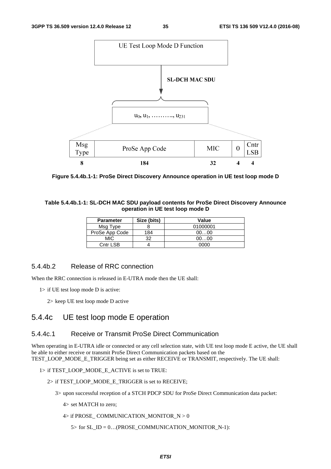

**Figure 5.4.4b.1-1: ProSe Direct Discovery Announce operation in UE test loop mode D** 

### **Table 5.4.4b.1-1: SL-DCH MAC SDU payload contents for ProSe Direct Discovery Announce operation in UE test loop mode D**

| <b>Parameter</b> | Size (bits) | Value    |  |  |  |  |
|------------------|-------------|----------|--|--|--|--|
| Msg Type         |             | 01000001 |  |  |  |  |
| ProSe App Code   | 184         | 0000     |  |  |  |  |
| <b>MIC</b>       | າາ          | 0000     |  |  |  |  |
| Cntr LSB         |             | 0000     |  |  |  |  |

# 5.4.4b.2 Release of RRC connection

When the RRC connection is released in E-UTRA mode then the UE shall:

- 1> if UE test loop mode D is active:
	- 2> keep UE test loop mode D active

# 5.4.4c UE test loop mode E operation

### 5.4.4c.1 Receive or Transmit ProSe Direct Communication

When operating in E-UTRA idle or connected or any cell selection state, with UE test loop mode E active, the UE shall be able to either receive or transmit ProSe Direct Communication packets based on the TEST\_LOOP\_MODE\_E\_TRIGGER being set as either RECEIVE or TRANSMIT, respectively. The UE shall:

#### 1> if TEST\_LOOP\_MODE\_E\_ACTIVE is set to TRUE:

- 2> if TEST\_LOOP\_MODE\_E\_TRIGGER is set to RECEIVE;
	- 3> upon successful reception of a STCH PDCP SDU for ProSe Direct Communication data packet:
		- 4> set MATCH to zero;
		- $4>$  if PROSE\_COMMUNICATION\_MONITOR\_N  $> 0$ 
			- $5>$  for  $SL_ID = 0$ ...(PROSE\_COMMUNICATION\_MONITOR\_N-1):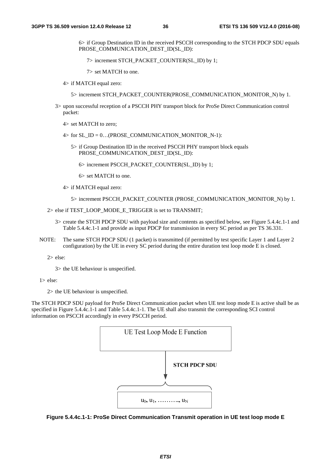6> if Group Destination ID in the received PSCCH corresponding to the STCH PDCP SDU equals PROSE\_COMMUNICATION\_DEST\_ID(SL\_ID):

7> increment STCH\_PACKET\_COUNTER(SL\_ID) by 1;

7> set MATCH to one.

4> if MATCH equal zero:

5> increment STCH\_PACKET\_COUNTER(PROSE\_COMMUNICATION\_MONITOR\_N) by 1.

- 3> upon successful reception of a PSCCH PHY transport block for ProSe Direct Communication control packet:
	- 4> set MATCH to zero;
	- $4>$  for SL\_ID = 0...(PROSE\_COMMUNICATION\_MONITOR\_N-1):
		- 5> if Group Destination ID in the received PSCCH PHY transport block equals PROSE\_COMMUNICATION\_DEST\_ID(SL\_ID):
			- 6> increment PSCCH\_PACKET\_COUNTER(SL\_ID) by 1;
			- 6> set MATCH to one.
	- 4> if MATCH equal zero:
		- 5> increment PSCCH\_PACKET\_COUNTER (PROSE\_COMMUNICATION\_MONITOR\_N) by 1.

2> else if TEST\_LOOP\_MODE\_E\_TRIGGER is set to TRANSMIT;

- 3> create the STCH PDCP SDU with payload size and contents as specified below, see Figure 5.4.4c.1-1 and Table 5.4.4c.1-1 and provide as input PDCP for transmission in every SC period as per TS 36.331.
- NOTE: The same STCH PDCP SDU (1 packet) is transmitted (if permitted by test specific Layer 1 and Layer 2 configuration) by the UE in every SC period during the entire duration test loop mode E is closed.

2> else:

3> the UE behaviour is unspecified.

1> else:

2> the UE behaviour is unspecified.

The STCH PDCP SDU payload for ProSe Direct Communication packet when UE test loop mode E is active shall be as specified in Figure 5.4.4c.1-1 and Table 5.4.4c.1-1. The UE shall also transmit the corresponding SCI control information on PSCCH accordingly in every PSCCH period.



**Figure 5.4.4c.1-1: ProSe Direct Communication Transmit operation in UE test loop mode E**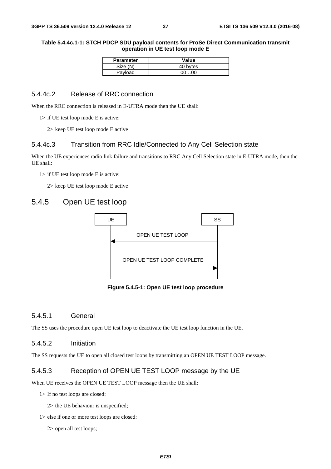### **Table 5.4.4c.1-1: STCH PDCP SDU payload contents for ProSe Direct Communication transmit operation in UE test loop mode E**

| <b>Parameter</b> | Value    |
|------------------|----------|
| Size (N)         | 40 bytes |
| Payload          | 00…00    |

### 5.4.4c.2 Release of RRC connection

When the RRC connection is released in E-UTRA mode then the UE shall:

1> if UE test loop mode E is active:

2> keep UE test loop mode E active

### 5.4.4c.3 Transition from RRC Idle/Connected to Any Cell Selection state

When the UE experiences radio link failure and transitions to RRC Any Cell Selection state in E-UTRA mode, then the UE shall:

1> if UE test loop mode E is active:

2> keep UE test loop mode E active

# 5.4.5 Open UE test loop



**Figure 5.4.5-1: Open UE test loop procedure** 

### 5.4.5.1 General

The SS uses the procedure open UE test loop to deactivate the UE test loop function in the UE.

### 5.4.5.2 Initiation

The SS requests the UE to open all closed test loops by transmitting an OPEN UE TEST LOOP message.

### 5.4.5.3 Reception of OPEN UE TEST LOOP message by the UE

When UE receives the OPEN UE TEST LOOP message then the UE shall:

1> If no test loops are closed:

2> the UE behaviour is unspecified;

1> else if one or more test loops are closed:

2> open all test loops;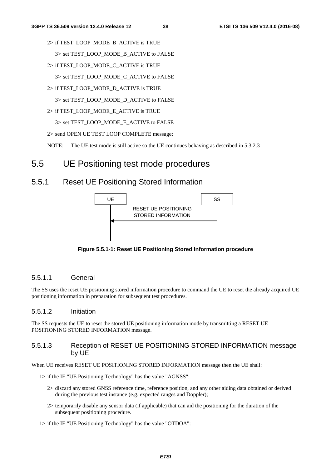2> if TEST\_LOOP\_MODE\_B\_ACTIVE is TRUE

3> set TEST\_LOOP\_MODE\_B\_ACTIVE to FALSE

- 2> if TEST\_LOOP\_MODE\_C\_ACTIVE is TRUE
	- 3> set TEST\_LOOP\_MODE\_C\_ACTIVE to FALSE
- 2> if TEST\_LOOP\_MODE\_D\_ACTIVE is TRUE

3> set TEST\_LOOP\_MODE\_D\_ACTIVE to FALSE

- 2> if TEST\_LOOP\_MODE\_E\_ACTIVE is TRUE
	- 3> set TEST\_LOOP\_MODE\_E\_ACTIVE to FALSE
- 2> send OPEN UE TEST LOOP COMPLETE message;

NOTE: The UE test mode is still active so the UE continues behaving as described in 5.3.2.3

# 5.5 UE Positioning test mode procedures

# 5.5.1 Reset UE Positioning Stored Information



**Figure 5.5.1-1: Reset UE Positioning Stored Information procedure** 

# 5.5.1.1 General

The SS uses the reset UE positioning stored information procedure to command the UE to reset the already acquired UE positioning information in preparation for subsequent test procedures.

### 5.5.1.2 Initiation

The SS requests the UE to reset the stored UE positioning information mode by transmitting a RESET UE POSITIONING STORED INFORMATION message.

# 5.5.1.3 Reception of RESET UE POSITIONING STORED INFORMATION message by UE

When UE receives RESET UE POSITIONING STORED INFORMATION message then the UE shall:

- 1> if the IE "UE Positioning Technology" has the value "AGNSS":
	- 2> discard any stored GNSS reference time, reference position, and any other aiding data obtained or derived during the previous test instance (e.g. expected ranges and Doppler);
	- 2> temporarily disable any sensor data (if applicable) that can aid the positioning for the duration of the subsequent positioning procedure.
- 1> if the IE "UE Positioning Technology" has the value "OTDOA":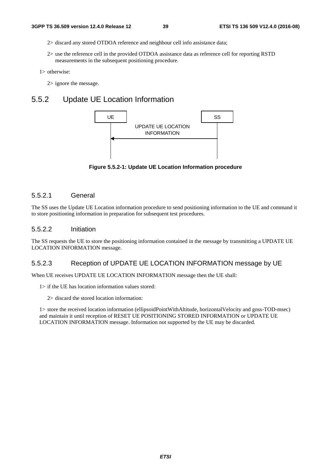- 2> discard any stored OTDOA reference and neighbour cell info assistance data;
- 2> use the reference cell in the provided OTDOA assistance data as reference cell for reporting RSTD measurements in the subsequent positioning procedure.

1> otherwise:

2> ignore the message.

# 5.5.2 Update UE Location Information



**Figure 5.5.2-1: Update UE Location Information procedure** 

### 5.5.2.1 General

The SS uses the Update UE Location information procedure to send positioning information to the UE and command it to store positioning information in preparation for subsequent test procedures.

### 5.5.2.2 Initiation

The SS requests the UE to store the positioning information contained in the message by transmitting a UPDATE UE LOCATION INFORMATION message.

### 5.5.2.3 Reception of UPDATE UE LOCATION INFORMATION message by UE

When UE receives UPDATE UE LOCATION INFORMATION message then the UE shall:

- 1> if the UE has location information values stored:
	- 2> discard the stored location information:

1> store the received location information (ellipsoidPointWithAltitude, horizontalVelocity and gnss-TOD-msec) and maintain it until reception of RESET UE POSITIONING STORED INFORMATION or UPDATE UE LOCATION INFORMATION message. Information not supported by the UE may be discarded.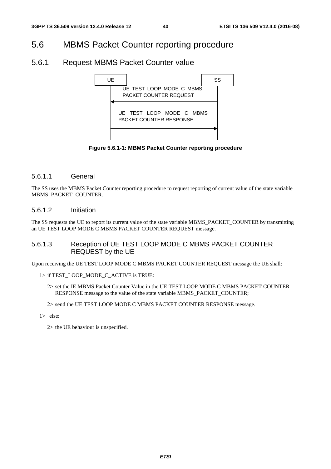# 5.6 MBMS Packet Counter reporting procedure

# 5.6.1 Request MBMS Packet Counter value



**Figure 5.6.1-1: MBMS Packet Counter reporting procedure** 

### 5.6.1.1 General

The SS uses the MBMS Packet Counter reporting procedure to request reporting of current value of the state variable MBMS\_PACKET\_COUNTER.

### 5.6.1.2 Initiation

The SS requests the UE to report its current value of the state variable MBMS\_PACKET\_COUNTER by transmitting an UE TEST LOOP MODE C MBMS PACKET COUNTER REQUEST message.

# 5.6.1.3 Reception of UE TEST LOOP MODE C MBMS PACKET COUNTER REQUEST by the UE

Upon receiving the UE TEST LOOP MODE C MBMS PACKET COUNTER REQUEST message the UE shall:

#### 1> if TEST\_LOOP\_MODE\_C\_ACTIVE is TRUE:

- 2> set the IE MBMS Packet Counter Value in the UE TEST LOOP MODE C MBMS PACKET COUNTER RESPONSE message to the value of the state variable MBMS\_PACKET\_COUNTER;
- 2> send the UE TEST LOOP MODE C MBMS PACKET COUNTER RESPONSE message.
- 1> else:

2> the UE behaviour is unspecified.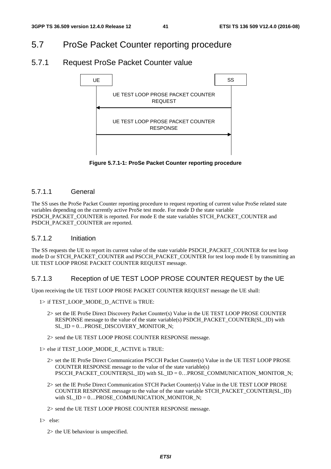# 5.7 ProSe Packet Counter reporting procedure

# 5.7.1 Request ProSe Packet Counter value



**Figure 5.7.1-1: ProSe Packet Counter reporting procedure** 

### 5.7.1.1 General

The SS uses the ProSe Packet Counter reporting procedure to request reporting of current value ProSe related state variables depending on the currently active ProSe test mode. For mode D the state variable PSDCH\_PACKET\_COUNTER is reported. For mode E the state variables STCH\_PACKET\_COUNTER and PSDCH\_PACKET\_COUNTER are reported.

### 5.7.1.2 Initiation

The SS requests the UE to report its current value of the state variable PSDCH\_PACKET\_COUNTER for test loop mode D or STCH\_PACKET\_COUNTER and PSCCH\_PACKET\_COUNTER for test loop mode E by transmitting an UE TEST LOOP PROSE PACKET COUNTER REQUEST message.

# 5.7.1.3 Reception of UE TEST LOOP PROSE COUNTER REQUEST by the UE

Upon receiving the UE TEST LOOP PROSE PACKET COUNTER REQUEST message the UE shall:

- 1> if TEST\_LOOP\_MODE\_D\_ACTIVE is TRUE:
	- 2> set the IE ProSe Direct Discovery Packet Counter(s) Value in the UE TEST LOOP PROSE COUNTER RESPONSE message to the value of the state variable(s) PSDCH\_PACKET\_COUNTER(SL\_ID) with SL\_ID =  $0...$ PROSE\_DISCOVERY\_MONITOR\_N;
	- 2> send the UE TEST LOOP PROSE COUNTER RESPONSE message.

1> else if TEST\_LOOP\_MODE\_E\_ACTIVE is TRUE:

- 2> set the IE ProSe Direct Communication PSCCH Packet Counter(s) Value in the UE TEST LOOP PROSE COUNTER RESPONSE message to the value of the state variable(s) PSCCH\_PACKET\_COUNTER(SL\_ID) with SL\_ID =  $0...$ PROSE\_COMMUNICATION\_MONITOR\_N;
- 2> set the IE ProSe Direct Communication STCH Packet Counter(s) Value in the UE TEST LOOP PROSE COUNTER RESPONSE message to the value of the state variable STCH\_PACKET\_COUNTER(SL\_ID) with SL\_ID = 0...PROSE\_COMMUNICATION\_MONITOR\_N;

2> send the UE TEST LOOP PROSE COUNTER RESPONSE message.

1> else:

2> the UE behaviour is unspecified.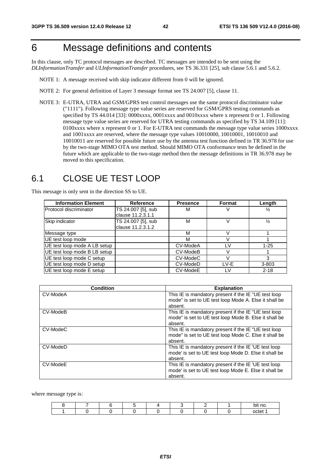# 6 Message definitions and contents

In this clause, only TC protocol messages are described. TC messages are intended to be sent using the *DLInformationTransfer* and *ULInformationTransfer* procedures, see TS 36.331 [25], sub clause 5.6.1 and 5.6.2.

- NOTE 1: A message received with skip indicator different from 0 will be ignored.
- NOTE 2: For general definition of Layer 3 message format see TS 24.007 [5], clause 11.
- NOTE 3: E-UTRA, UTRA and GSM/GPRS test control messages use the same protocol discriminator value ("1111"). Following message type value series are reserved for GSM/GPRS testing commands as specified by TS 44.014 [33]: 0000xxxx, 0001xxxx and 0010xxxx where x represent 0 or 1. Following message type value series are reserved for UTRA testing commands as specified by TS 34.109 [11]: 0100xxxx where x represent 0 or 1. For E-UTRA test commands the message type value series 1000xxxx and 1001xxxx are reserved, where the message type values 10010000, 10010001, 10010010 and 10010011 are reserved for possible future use by the antenna test function defined in TR 36.978 for use by the two-stage MIMO OTA test method. Should MIMO OTA conformance tests be defined in the future which are applicable to the two-stage method then the message definitions in TR 36.978 may be moved to this specification.

# 6.1 CLOSE UE TEST LOOP

This message is only sent in the direction SS to UE.

| <b>Information Element</b>   | <b>Reference</b>   | <b>Presence</b> | Format | Length        |
|------------------------------|--------------------|-----------------|--------|---------------|
| Protocol discriminator       | TS 24.007 [5], sub | М               | v      | ⅓             |
|                              | clause 11.2.3.1.1  |                 |        |               |
| Skip indicator               | TS 24.007 [5], sub | M               | V      | $\frac{1}{2}$ |
|                              | clause 11.2.3.1.2  |                 |        |               |
| Message type                 |                    | M               | V      |               |
| UE test loop mode            |                    | М               | V      |               |
| UE test loop mode A LB setup |                    | CV-ModeA        | I V    | $1 - 25$      |
| UE test loop mode B LB setup |                    | CV-ModeB        | V      |               |
| UE test loop mode C setup    |                    | CV-ModeC        | V      | 3             |
| UE test loop mode D setup    |                    | CV-ModeD        | LV-E   | $3 - 803$     |
| UE test loop mode E setup    |                    | CV-ModeE        | LV     | $2 - 18$      |

| <b>Condition</b> | <b>Explanation</b>                                                                                                       |
|------------------|--------------------------------------------------------------------------------------------------------------------------|
| CV-ModeA         | This IE is mandatory present if the IE "UE test loop<br>mode" is set to UE test loop Mode A. Else it shall be<br>absent. |
| CV-ModeB         | This IE is mandatory present if the IE "UE test loop<br>mode" is set to UE test loop Mode B. Else it shall be<br>absent. |
| CV-ModeC         | This IE is mandatory present if the IE "UE test loop<br>mode" is set to UE test loop Mode C. Else it shall be<br>absent. |
| CV-ModeD         | This IE is mandatory present if the IE 'UE test loop<br>mode' is set to UE test loop Mode D. Else it shall be<br>absent. |
| CV-ModeE         | This IE is mandatory present if the IE 'UE test loop<br>mode' is set to UE test loop Mode E. Else it shall be<br>absent. |

where message type is:

|  |  |  |  | no.<br>bit |
|--|--|--|--|------------|
|  |  |  |  | octet      |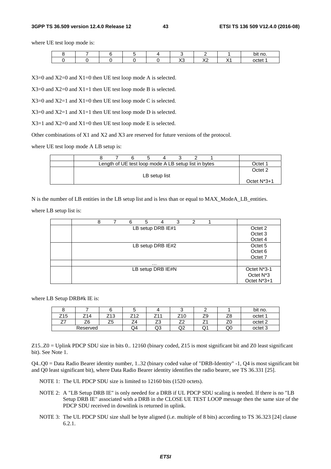#### **3GPP TS 36.509 version 12.4.0 Release 12 43 ETSI TS 136 509 V12.4.0 (2016-08)**

where UE test loop mode is:

|  |  |                 |                          |         | bit no. |
|--|--|-----------------|--------------------------|---------|---------|
|  |  | $\sqrt{2}$<br>ハ | $\sqrt{2}$<br>$\sqrt{2}$ | ៶.<br>. | octet 1 |

X3=0 and X2=0 and X1=0 then UE test loop mode A is selected.

 $X3=0$  and  $X2=0$  and  $X1=1$  then UE test loop mode B is selected.

X3=0 and X2=1 and X1=0 then UE test loop mode C is selected.

 $X3=0$  and  $X2=1$  and  $X1=1$  then UE test loop mode D is selected.

 $X3=1$  and  $X2=0$  and  $X1=0$  then UE test loop mode E is selected.

Other combinations of X1 and X2 and X3 are reserved for future versions of the protocol.

where UE test loop mode A LB setup is:

|  | Length of UE test loop mode A LB setup list in bytes |               |  |  | Octet 1        |
|--|------------------------------------------------------|---------------|--|--|----------------|
|  |                                                      |               |  |  | Octet 2        |
|  |                                                      | LB setup list |  |  |                |
|  |                                                      |               |  |  | Octet $N^*3+1$ |

N is the number of LB entities in the LB setup list and is less than or equal to MAX\_ModeA\_LB\_entities.

where LB setup list is:

|  | 8 | 6 | 5 | 4                 | 3 | 2 |  |                                                      |
|--|---|---|---|-------------------|---|---|--|------------------------------------------------------|
|  |   |   |   | LB setup DRB IE#1 |   |   |  | Octet 2<br>Octet 3<br>Octet 4                        |
|  |   |   |   | LB setup DRB IE#2 |   |   |  | Octet <sub>5</sub><br>Octet <sub>6</sub><br>Octet 7  |
|  |   |   |   | $\cdots$          |   |   |  |                                                      |
|  |   |   |   | LB setup DRB IE#N |   |   |  | Octet N*3-1<br>Octet N <sup>*</sup> 3<br>Octet N*3+1 |

where LB Setup DRB#k IE is:

|            |          |         |                                |                                |                               |               |                                | bit<br>no.         |
|------------|----------|---------|--------------------------------|--------------------------------|-------------------------------|---------------|--------------------------------|--------------------|
| Z15        | Z14      | Z13     | 74 O<br>. <u>.</u><br><u>_</u> | <b>744</b><br><u>.</u>         | Z <sub>10</sub>               | ⇁<br>∠ວ       | 70<br>۷C                       | octet 1            |
| $-$<br>، ے | Z6       | フロ<br>້ | -<br>. –                       | $\overline{\phantom{a}}$<br>ںے | $\overline{\phantom{a}}$<br>∸ | -<br><u>_</u> | $\overline{\phantom{a}}$<br>∠∟ | octet <sub>2</sub> |
|            | Reserved |         | Q4                             | Q3                             | ∩ว<br>◡                       | Q1            | Q0                             | octet 3            |

Z15..Z0 = Uplink PDCP SDU size in bits 0.. 12160 (binary coded, Z15 is most significant bit and Z0 least significant bit). See Note 1.

Q4..Q0 = Data Radio Bearer identity number, 1..32 (binary coded value of "DRB-Identity" -1, Q4 is most significant bit and Q0 least significant bit), where Data Radio Bearer identity identifies the radio bearer, see TS 36.331 [25].

NOTE 1: The UL PDCP SDU size is limited to 12160 bits (1520 octets).

- NOTE 2: A "LB Setup DRB IE" is only needed for a DRB if UL PDCP SDU scaling is needed. If there is no "LB Setup DRB IE" associated with a DRB in the CLOSE UE TEST LOOP message then the same size of the PDCP SDU received in downlink is returned in uplink.
- NOTE 3: The UL PDCP SDU size shall be byte aligned (i.e. multiple of 8 bits) according to TS 36.323 [24] clause 6.2.1.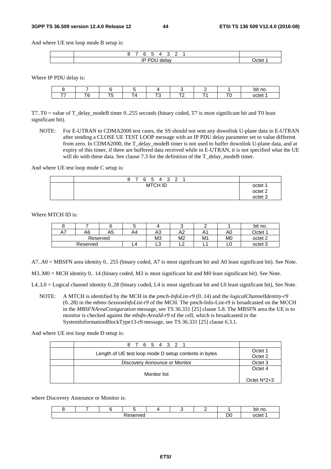And where UE test loop mode B setup is:

| -                 |    |
|-------------------|----|
| - -<br>. .<br>. . | ∼י |

Where IP PDU delay is:

|        |                                                                                                                                                                                                                                                                                                                                                                                                                                                                                 |  |        | bit no.                                  |
|--------|---------------------------------------------------------------------------------------------------------------------------------------------------------------------------------------------------------------------------------------------------------------------------------------------------------------------------------------------------------------------------------------------------------------------------------------------------------------------------------|--|--------|------------------------------------------|
| −∙<br> | $\frac{1}{2} \left( \frac{1}{2} \right) \left( \frac{1}{2} \right) \left( \frac{1}{2} \right) \left( \frac{1}{2} \right) \left( \frac{1}{2} \right) \left( \frac{1}{2} \right) \left( \frac{1}{2} \right) \left( \frac{1}{2} \right) \left( \frac{1}{2} \right) \left( \frac{1}{2} \right) \left( \frac{1}{2} \right) \left( \frac{1}{2} \right) \left( \frac{1}{2} \right) \left( \frac{1}{2} \right) \left( \frac{1}{2} \right) \left( \frac{1}{2} \right) \left( \frac$<br>, |  | $\sim$ | ำ∩†≏า<br>∩ר.<br>$\overline{\phantom{a}}$ |

T7..T0 = value of T\_delay\_modeB timer 0..255 seconds (binary coded, T7 is most significant bit and T0 least significant bit).

NOTE: For E-UTRAN to CDMA2000 test cases, the SS should not sent any downlink U-plane data in E-UTRAN after sending a CLOSE UE TEST LOOP message with an IP PDU delay parameter set to value different from zero. In CDMA2000, the T\_delay\_modeB timer is not used to buffer downlink U-plane data, and at expiry of this timer, if there are buffered data received while in E-UTRAN, it is not specified what the UE will do with these data. See clause  $7.3$  for the definition of the T\_delay\_modeB timer.

And where UE test loop mode C setup is:

| 8 7 6 5 4 3 2 1 |                |  |  |                                                     |
|-----------------|----------------|--|--|-----------------------------------------------------|
|                 | <b>MTCH ID</b> |  |  | octet 1<br>octet <sub>2</sub><br>octet <sub>3</sub> |

Where MTCH ID is:

|          |    |    | w  |                |    |    |                | bit no.            |
|----------|----|----|----|----------------|----|----|----------------|--------------------|
| A7       | A6 | A5 | Α4 | A3             | A2 | A1 | A0             | Jctet <sup>1</sup> |
| Reserved |    |    |    | M <sub>3</sub> | M2 | M1 | M <sub>0</sub> | octet <sub>2</sub> |
| Reserved |    |    | L4 | ∽<br>∟ບ        | ∽  | -  | ∟∪             | octet <sub>3</sub> |

A7..A0 = MBSFN area identity 0.. 255 (binary coded, A7 is most significant bit and A0 least significant bit). See Note.

M3..M0 = MCH identity 0.. 14 (binary coded, M3 is most significant bit and M0 least significant bit). See Note.

L4..L0 = Logical channel identity 0..28 (binary coded, L4 is most significant bit and L0 least significant bit), See Note.

NOTE: A MTCH is identified by the MCH in the *pmch-InfoList-r9* (0..14) and the *logicalChannelIdentity-r9* (0..28) in the *mbms-SessionInfoList-r9* of the MCH. The pmch-Info-List-r9 is broadcasted on the MCCH in the *MBSFNAreaConiguration* message, see TS 36.331 [25] clause 5.8. The MBSFN area the UE is to monitor is checked against the *mbsfn-AreaId-r9* of the cell, which is broadcasted in the SystemInformationBlockType13-r9 message, see TS 36.331 [25] clause 6.3.1.

And where UE test loop mode D setup is:

| 8 7 6 5 4 3 2 1                                       |                    |
|-------------------------------------------------------|--------------------|
| Length of UE test loop mode D setup contents in bytes | Octet 1<br>Octet 2 |
| Discovery Announce or Monitor                         | Octet <sub>3</sub> |
| Monitor list                                          | Octet 4            |
|                                                       | Octet $N^*2+3$     |

where Discovery Announce or Monitor is:

|  |                     |  |         | no.<br>bit                  |
|--|---------------------|--|---------|-----------------------------|
|  | -<br>m<br>'vec<br>- |  | ¬،<br>◡ | $\sim$ $\sim$ $\sim$ $\sim$ |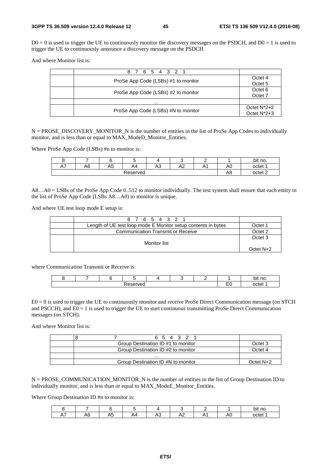$D0 = 0$  is used to trigger the UE to continuously monitor the discovery messages on the PSDCH, and  $D0 = 1$  is used to trigger the UE to continuously announce a discovery message on the PSDCH.

And where Monitor list is:

| 8 7 6 5 4 3 2 1                     |                                  |
|-------------------------------------|----------------------------------|
| ProSe App Code (LSBs) #1 to monitor | Octet 4<br>Octet <sub>5</sub>    |
| ProSe App Code (LSBs) #2 to monitor | Octet <sub>6</sub><br>Octet 7    |
| .                                   |                                  |
| ProSe App Code (LSBs) #N to monitor | Octet $N^*2+2$<br>Octet $N^*2+3$ |

 $N = PROSE$  DISCOVERY MONITOR N is the number of entities in the list of ProSe App Codes to individually monitor, and is less than or equal to MAX\_ModeD\_Monitor\_Entities.

Where ProSe App Code (LSBs) #n to monitor is:

| `                        | -  |    |          |                           |               |     |           | bit no.            |
|--------------------------|----|----|----------|---------------------------|---------------|-----|-----------|--------------------|
| $\sim$ $\sim$<br>A<br>A۱ | A6 | A5 | A4       | $\Lambda$ $\hat{C}$<br>ಗ∪ | $\cdots$<br>∼ | ,,, | A0        | octet 1            |
|                          |    |    | Reserved |                           |               |     | л с<br>A8 | octet <sub>2</sub> |

A8…A0 = LSBs of the ProSe App Code 0..512 to monitor individually. The test system shall ensure that each entity in the list of ProSe App Code (LSBs A8…A0) to monitor is unique.

And where UE test loop mode E setup is:

| 8 7 6 5 4 3 2 1                                               |                    |
|---------------------------------------------------------------|--------------------|
| Length of UE test loop mode E Monitor setup contents in bytes | Octet 1            |
| <b>Communication Transmit or Receive</b>                      | Octet 2            |
|                                                               | Octet <sub>3</sub> |
| Monitor list                                                  |                    |
|                                                               | Octet N+2          |

where Communication Transmit or Receive is:

|  |          |  |                 | bit no. |
|--|----------|--|-----------------|---------|
|  | ve.<br>- |  | $ -$<br>-<br>-- |         |

E0 = 0 is used to trigger the UE to continuously monitor and receive ProSe Direct Communication message (on STCH and PSCCH), and  $E0 = 1$  is used to trigger the UE to start continuous transmitting ProSe Direct Communication messages (on STCH).

And where Monitor list is:

| 6 5 4 3 2 1                        |           |
|------------------------------------|-----------|
| Group Destination ID #1 to monitor | Octet 3   |
| Group Destination ID #2 to monitor | Octet 4   |
| .                                  |           |
| Group Destination ID #N to monitor | Octet N+2 |

 $N = PROSE$  COMMUNICATION\_MONITOR\_N is the number of entities in the list of Group Destination ID to individually monitor, and is less than or equal to MAX\_ModeE\_Monitor\_Entities.

Where Group Destination ID #n to monitor is:

|                                |           |                                           |                   |                   |     |     | bit no. |
|--------------------------------|-----------|-------------------------------------------|-------------------|-------------------|-----|-----|---------|
| $\overline{\phantom{a}}$<br>`` | ۰۱۲<br>чc | $\overline{\phantom{0}}$<br>$\cdots$<br>ᅚ | $\mathbf{v}$<br>~ | $\mathbf{r}$<br>∼ | . . | -AL | octet 1 |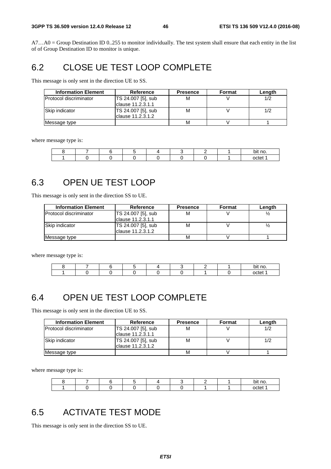A7…A0 = Group Destination ID 0..255 to monitor individually. The test system shall ensure that each entity in the list of of Group Destination ID to monitor is unique.

# 6.2 CLOSE UE TEST LOOP COMPLETE

This message is only sent in the direction UE to SS.

| <b>Information Element</b>    | <b>Reference</b>                         | <b>Presence</b> | Format | Length |
|-------------------------------|------------------------------------------|-----------------|--------|--------|
| <b>Protocol discriminator</b> | TS 24.007 [5], sub                       | М               |        |        |
|                               | Iclause 11.2.3.1.1                       |                 |        |        |
| Skip indicator                | TS 24.007 [5], sub<br>Iclause 11.2.3.1.2 | M               |        |        |
| Message type                  |                                          | M               |        |        |

where message type is:

|  |  |  |  | bit no |
|--|--|--|--|--------|
|  |  |  |  | tatר   |

# 6.3 OPEN UE TEST LOOP

This message is only sent in the direction SS to UE.

| <b>Information Element</b>    | Reference          | <b>Presence</b> | <b>Format</b> | Length |
|-------------------------------|--------------------|-----------------|---------------|--------|
| <b>Protocol discriminator</b> | TS 24.007 [5], sub | M               |               |        |
|                               | clause 11.2.3.1.1  |                 |               |        |
| Skip indicator                | TS 24.007 [5], sub | M               |               |        |
|                               | Iclause 11.2.3.1.2 |                 |               |        |
| Message type                  |                    | M               |               |        |

where message type is:

|  |  |  |  | bit no. |
|--|--|--|--|---------|
|  |  |  |  | ∩ctet ′ |

# 6.4 OPEN UE TEST LOOP COMPLETE

This message is only sent in the direction UE to SS.

| <b>Information Element</b> | Reference                                | <b>Presence</b> | <b>Format</b> | Length |
|----------------------------|------------------------------------------|-----------------|---------------|--------|
| Protocol discriminator     | TS 24.007 [5], sub<br>lclause 11.2.3.1.1 | M               |               | 1/2    |
| Skip indicator             | TS 24.007 [5], sub<br>clause 11.2.3.1.2  | м               |               | 1/2    |
| Message type               |                                          | М               |               |        |

where message type is:

|  |  |  |  | bit no. |
|--|--|--|--|---------|
|  |  |  |  | nctet   |

# 6.5 ACTIVATE TEST MODE

This message is only sent in the direction SS to UE.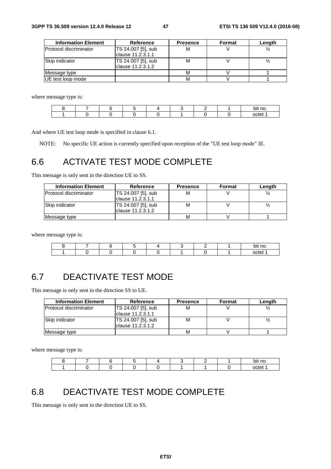| <b>Information Element</b> | <b>Reference</b>   | <b>Presence</b> | Format | Length |
|----------------------------|--------------------|-----------------|--------|--------|
| Protocol discriminator     | TS 24.007 [5], sub | м               |        |        |
|                            | clause 11.2.3.1.1  |                 |        |        |
| Skip indicator             | TS 24.007 [5], sub | м               |        |        |
|                            | clause 11.2.3.1.2  |                 |        |        |
| Message type               |                    | М               |        |        |
| UE test loop mode          |                    | М               |        |        |

where message type is:

|  |  |  |  | bit no. |
|--|--|--|--|---------|
|  |  |  |  | octet   |

And where UE test loop mode is specified in clause 6.1.

NOTE: No specific UE action is currently specified upon reception of the "UE test loop mode" IE.

# 6.6 ACTIVATE TEST MODE COMPLETE

This message is only sent in the direction UE to SS.

| <b>Information Element</b>    | <b>Reference</b>                         | <b>Presence</b> | Format | Length |
|-------------------------------|------------------------------------------|-----------------|--------|--------|
| <b>Protocol discriminator</b> | TS 24.007 [5], sub<br>clause 11.2.3.1.1  | M               |        |        |
| Skip indicator                | TS 24.007 [5], sub<br>Iclause 11.2.3.1.2 | M               |        |        |
| Message type                  |                                          | M               |        |        |

where message type is:

|  |  |  |  | bit no. |
|--|--|--|--|---------|
|  |  |  |  | octet   |

# 6.7 DEACTIVATE TEST MODE

This message is only sent in the direction SS to UE.

| <b>Information Element</b>    | Reference          | <b>Presence</b> | <b>Format</b> | Length |
|-------------------------------|--------------------|-----------------|---------------|--------|
| <b>Protocol discriminator</b> | TS 24.007 [5], sub | М               |               |        |
|                               | Iclause 11.2.3.1.1 |                 |               |        |
| Skip indicator                | TS 24.007 [5], sub | М               |               |        |
|                               | lclause 11.2.3.1.2 |                 |               |        |
| Message type                  |                    | M               |               |        |

where message type is:

|  |  |  |  | nt no<br>וו                         |
|--|--|--|--|-------------------------------------|
|  |  |  |  | $\sim$ $\sim$ $\sim$ $\sim$<br>וניו |

# 6.8 DEACTIVATE TEST MODE COMPLETE

This message is only sent in the direction UE to SS.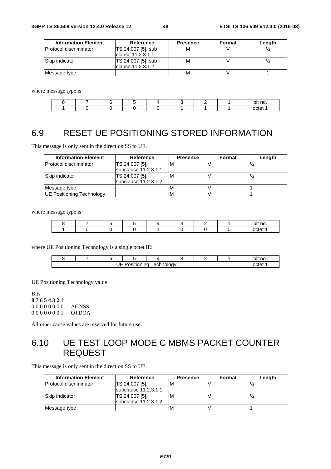| <b>Information Element</b> | Reference          | <b>Presence</b> | Format | Length |
|----------------------------|--------------------|-----------------|--------|--------|
| lProtocol discriminator    | TS 24.007 [5], sub | М               |        |        |
|                            | Iclause 11.2.3.1.1 |                 |        |        |
| Skip indicator             | TS 24.007 [5], sub | М               |        |        |
|                            | Iclause 11.2.3.1.2 |                 |        |        |
| Message type               |                    | М               |        |        |

where message type is:

|  |  |  |  | no.<br>bit |
|--|--|--|--|------------|
|  |  |  |  |            |

# 6.9 RESET UE POSITIONING STORED INFORMATION

This message is only sent in the direction SS to UE.

| <b>Information Element</b>       | Reference                                | <b>Presence</b> | Format | Length |
|----------------------------------|------------------------------------------|-----------------|--------|--------|
| <b>Protocol discriminator</b>    | TS 24.007 [5],<br>subclause 11.2.3.1.1   | ΙM              |        |        |
| Skip indicator                   | TS 24.007 [5],<br>$subclause$ 11.2.3.1.2 | ΙM              |        |        |
| Message type                     |                                          |                 |        |        |
| <b>UE Positioning Technology</b> |                                          | <b>IV</b>       |        |        |

where message type is:

|  |  |  |  | bit no. |
|--|--|--|--|---------|
|  |  |  |  | octet   |

where UE Positioning Technology is a single octet IE:

|  |       |  |  |  |  |  |  | `no.<br>bit |
|--|-------|--|--|--|--|--|--|-------------|
|  | nrte: |  |  |  |  |  |  |             |

UE Positioning Technology value

Bits **8 7 6 5 4 3 2 1** 0 0 0 0 0 0 0 0 AGNSS 0 0 0 0 0 0 0 1 OTDOA

All other cause values are reserved for future use.

# 6.10 UE TEST LOOP MODE C MBMS PACKET COUNTER REQUEST

This message is only sent in the direction SS to UE.

| <b>Information Element</b>     | Reference            | <b>Presence</b> | Format | Length |
|--------------------------------|----------------------|-----------------|--------|--------|
| <b>IProtocol discriminator</b> | TS 24.007 [5],       | M               |        |        |
|                                | subclause 11.2.3.1.1 |                 |        |        |
| <b>Skip indicator</b>          | TS 24.007 [5],       | M               |        |        |
|                                | subclause 11.2.3.1.2 |                 |        |        |
| Message type                   |                      | M               |        |        |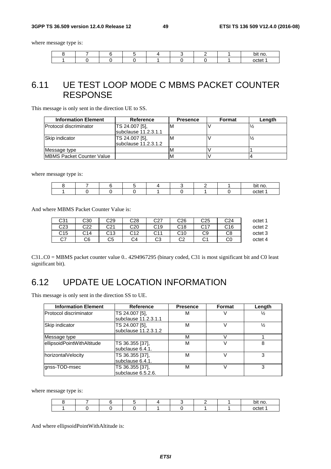#### **3GPP TS 36.509 version 12.4.0 Release 12 49 ETSI TS 136 509 V12.4.0 (2016-08)**

where message type is:

|  |  |  |  | `no.<br>Οľ |
|--|--|--|--|------------|
|  |  |  |  | nctet      |

# 6.11 UE TEST LOOP MODE C MBMS PACKET COUNTER RESPONSE

This message is only sent in the direction UE to SS.

| <b>Information Element</b>        | Reference                                      | <b>Presence</b> | Format | Length |
|-----------------------------------|------------------------------------------------|-----------------|--------|--------|
| <b>Protocol discriminator</b>     | TS 24.007 [5],<br>subclause 11.2.3.1.1         | ιM              |        |        |
| Skip indicator                    | TS 24.007 [5],<br><b>Isubclause 11.2.3.1.2</b> | M               |        |        |
| Message type                      |                                                | M               |        |        |
| <b>IMBMS Packet Counter Value</b> |                                                | м               |        |        |

where message type is:

|  |  |  |  | bit no                             |
|--|--|--|--|------------------------------------|
|  |  |  |  | $\sim$ $\sim$ $\sim$ $\sim$ $\sim$ |

And where MBMS Packet Counter Value is:

| C31       | C30 | C29 | C28 | C27 | C26      | C25             | C <sub>24</sub> | octet <sup>1</sup> |
|-----------|-----|-----|-----|-----|----------|-----------------|-----------------|--------------------|
| C23       | C22 | C21 | C20 | C19 | C18      | C <sub>17</sub> | C16             | octet 2            |
| C15       | C14 | C13 | C12 | C11 | C10      | C9              | C8              | octet 3            |
| ~7<br>vı. | C6  | C5  | C4  | C3  | റാ<br>◡∠ | $\sim$          | C0              | octet 4            |

C31..C0 = MBMS packet counter value 0.. 4294967295 (binary coded, C31 is most significant bit and C0 least significant bit).

# 6.12 UPDATE UE LOCATION INFORMATION

This message is only sent in the direction SS to UE.

| <b>Information Element</b> | Reference            | <b>Presence</b> | Format | Length |
|----------------------------|----------------------|-----------------|--------|--------|
| Protocol discriminator     | TS 24.007 [5],       | м               |        | ⅓      |
|                            | subclause 11.2.3.1.1 |                 |        |        |
| Skip indicator             | TS 24.007 [5],       | м               |        | ⅓      |
|                            | subclause 11.2.3.1.2 |                 |        |        |
| Message type               |                      | м               |        |        |
| ellipsoidPointWithAltitude | TS 36.355 [37],      | М               |        | 8      |
|                            | subclause 6.4.1.     |                 |        |        |
| horizontalVelocity         | TS 36.355 [37],      | М               |        | з      |
|                            | subclause 6.4.1.     |                 |        |        |
| gnss-TOD-msec              | TS 36.355 [37],      | М               |        | з      |
|                            | subclause 6.5.2.6.   |                 |        |        |

where message type is:

|  |  |  |  | no<br>nг<br>~ |
|--|--|--|--|---------------|
|  |  |  |  | nctet         |

And where ellipsoidPointWithAltitude is: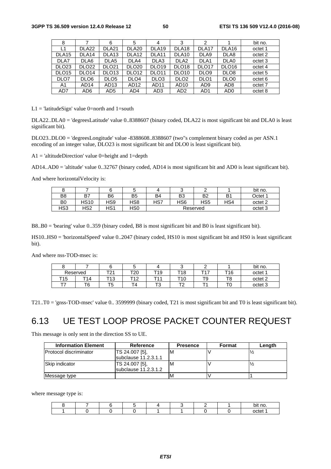| 8                 |                   | 6                 | 5                 | 4                 | 3                 | 2                 |                   | bit no.            |
|-------------------|-------------------|-------------------|-------------------|-------------------|-------------------|-------------------|-------------------|--------------------|
| L1                | DLA <sub>22</sub> | DLA <sub>21</sub> | DLA <sub>20</sub> | DLA <sub>19</sub> | DLA <sub>18</sub> | DLA <sub>17</sub> | DLA <sub>16</sub> | octet 1            |
| DLA <sub>15</sub> | DLA <sub>14</sub> | DLA <sub>13</sub> | DLA <sub>12</sub> | DLA <sub>11</sub> | DLA <sub>10</sub> | DLA9              | DLA8              | octet 2            |
| DLA7              | DLA6              | DLA <sub>5</sub>  | DLA4              | DLA3              | DLA <sub>2</sub>  | DLA <sub>1</sub>  | DLA0              | octet 3            |
| DLO <sub>23</sub> | DLO <sub>22</sub> | <b>DLO21</b>      | <b>DLO20</b>      | DLO <sub>19</sub> | DLO <sub>18</sub> | DLO <sub>17</sub> | DLO <sub>16</sub> | octet 4            |
| DLO <sub>15</sub> | DLO <sub>14</sub> | DLO <sub>13</sub> | DLO <sub>12</sub> | DLO <sub>11</sub> | DLO <sub>10</sub> | DLO <sub>9</sub>  | DLO <sub>8</sub>  | octet <sub>5</sub> |
| DLO7              | DLO <sub>6</sub>  | DLO <sub>5</sub>  | DLO <sub>4</sub>  | DLO <sub>3</sub>  | DLO <sub>2</sub>  | DLO <sub>1</sub>  | DLO <sub>0</sub>  | octet <sub>6</sub> |
| A1                | AD <sub>14</sub>  | AD13              | AD <sub>12</sub>  | AD11              | AD10              | AD <sub>9</sub>   | AD <sub>8</sub>   | octet 7            |
| AD7               | AD6               | AD5               | AD4               | AD3               | AD <sub>2</sub>   | AD <sub>1</sub>   | AD <sub>0</sub>   | octet 8            |

 $L1 =$  'latitudeSign' value 0=north and 1=south

DLA22..DLA0 = 'degreesLatitude' value 0..8388607 (binary coded, DLA22 is most significant bit and DLA0 is least significant bit).

DLO23..DLO0 = 'degreesLongitude' value -8388608..8388607 (two"s complement binary coded as per ASN.1 encoding of an integer value, DLO23 is most significant bit and DLO0 is least significant bit).

 $A1 = 'altitudeDirection' value 0 = height and 1 = depth$ 

AD14..AD0 = 'altitude' value 0..32767 (binary coded, AD14 is most significant bit and AD0 is least significant bit).

And where horizontalVelocity is:

|                |      |     |                |           |                 |                |                | bit no.            |
|----------------|------|-----|----------------|-----------|-----------------|----------------|----------------|--------------------|
| B <sub>8</sub> | B7   | B6  | B <sub>5</sub> | <b>B4</b> | B <sub>3</sub>  | B <sub>2</sub> | B <sub>1</sub> | Octet 1            |
| B <sub>0</sub> | HS10 | HS9 | HS8            | HS7       | HS <sub>6</sub> | HS5            | HS4            | octet <sub>2</sub> |
| HS3            | HS2  | HS1 | HS0            |           |                 | Reserved       |                | octet 3            |

B8..B0 = 'bearing' value 0..359 (binary coded, B8 is most significant bit and B0 is least significant bit).

HS10..HS0 = 'horizontalSpeed' value 0..2047 (binary coded, HS10 is most significant bit and HS0 is least significant bit).

And where nss-TOD-msec is:

| u   |          |                  | ີ          |                    |                     |           |          | bit no.            |
|-----|----------|------------------|------------|--------------------|---------------------|-----------|----------|--------------------|
|     | Reserved | — ∩и<br><u>_</u> | ™Ω∩<br>∠∪  | T19                | T18                 | ᅮィラ       | T16      | octet 1            |
| T15 | T14      | T1 ?<br>ں ا      | エィつ<br>' 4 | <b>T44</b>         | T1 N<br>. U         | та<br>1 J | тc<br>ιc | octet <sub>2</sub> |
| --  | T6       | --<br>כ י        | -          | $\mathbf{r}$<br>د، | $\mathbf{r}$<br>. . | -         |          | octet <sub>3</sub> |

T21..T0 = 'gnss-TOD-msec' value 0.. 3599999 (binary coded, T21 is most significant bit and T0 is least significant bit).

# 6.13 UE TEST LOOP PROSE PACKET COUNTER REQUEST

This message is only sent in the direction SS to UE.

| <b>Information Element</b>    | Reference            | <b>Presence</b> | Format | Length |
|-------------------------------|----------------------|-----------------|--------|--------|
| <b>Protocol discriminator</b> | TS 24.007 [5],       | M               |        |        |
|                               | subclause 11.2.3.1.1 |                 |        |        |
| Skip indicator                | TS 24.007 [5].       | M               |        |        |
|                               | subclause 11.2.3.1.2 |                 |        |        |
| Message type                  |                      | м               |        |        |

where message type is:

|  |  |  |  | pit no |
|--|--|--|--|--------|
|  |  |  |  | nctet  |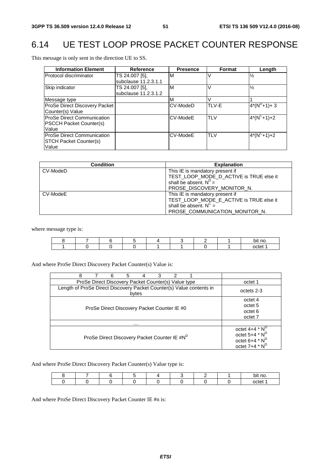# 6.14 UE TEST LOOP PROSE PACKET COUNTER RESPONSE

This message is only sent in the direction UE to SS.

| <b>Information Element</b>                                                   | Reference                              | <b>Presence</b> | <b>Format</b> | Length               |
|------------------------------------------------------------------------------|----------------------------------------|-----------------|---------------|----------------------|
| Protocol discriminator                                                       | TS 24.007 [5].<br>subclause 11.2.3.1.1 | M               |               | $\frac{1}{2}$        |
| Skip indicator                                                               | TS 24.007 [5],<br>subclause 11.2.3.1.2 | M               |               | $\frac{1}{2}$        |
| Message type                                                                 |                                        | M               |               |                      |
| ProSe Direct Discovery Packet<br>Counter(s) Value                            |                                        | CV-ModeD        | TLV-E         | $4*(N^D+1)+3$        |
| <b>ProSe Direct Communication</b><br><b>PSCCH Packet Counter(s)</b><br>Value |                                        | CV-ModeE        | <b>TLV</b>    | $4*(N^C+1)+2$        |
| <b>IProSe Direct Communication</b><br><b>STCH Packet Counter(s)</b><br>Value |                                        | CV-ModeE        | <b>TLV</b>    | $\sqrt{4*(N^C+1)+2}$ |

| <b>Condition</b> | <b>Explanation</b>                      |
|------------------|-----------------------------------------|
| CV-ModeD         | This IE is mandatory present if         |
|                  | TEST_LOOP_MODE_D_ACTIVE is TRUE else it |
|                  | shall be absent. $N^D =$                |
|                  | PROSE DISCOVERY MONITOR N.              |
| CV-ModeE         | This IE is mandatory present if         |
|                  | TEST_LOOP_MODE_E_ACTIVE is TRUE else it |
|                  | shall be absent. $N^C =$                |
|                  | PROSE COMMUNICATION MONITOR N.          |

where message type is:

|  |  |  |  | no.<br>.<br>bit |
|--|--|--|--|-----------------|
|  |  |  |  | octet           |

And where ProSe Direct Discovery Packet Counter(s) Value is:

| 8<br>6<br>5<br>3<br>4                                                         |                                                                                          |
|-------------------------------------------------------------------------------|------------------------------------------------------------------------------------------|
| ProSe Direct Discovery Packet Counter(s) Value type                           | octet 1                                                                                  |
| Length of ProSe Direct Discovery Packet Counter(s) Value contents in<br>bytes | octets 2-3                                                                               |
| ProSe Direct Discovery Packet Counter IE #0                                   | octet 4<br>octet 5<br>octet 6<br>octet <sub>7</sub>                                      |
| $\cdots$                                                                      |                                                                                          |
| ProSe Direct Discovery Packet Counter IE #N <sup>D</sup>                      | octet $4+4$ * $N^D$<br>octet $5+4$ * $N^D$<br>octet $6+4$ * $N^D$<br>octet $7+4$ * $N^D$ |

And where ProSe Direct Discovery Packet Counter(s) Value type is:

|  |  |  |  | . .<br>bit no. |
|--|--|--|--|----------------|
|  |  |  |  | octet          |

And where ProSe Direct Discovery Packet Counter IE #n is: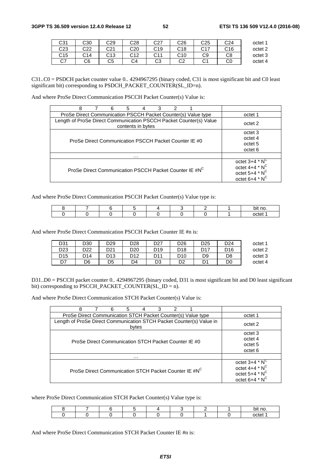| octet 1 | C <sub>24</sub> | C25            | C26        | rn7<br>ا ےب     | C28        | C29 | C30 | C31      |
|---------|-----------------|----------------|------------|-----------------|------------|-----|-----|----------|
| octet 2 | C <sub>16</sub> | $\sim$ 17<br>◡ | C18<br>ັ   | C19             | C20        | C21 | C22 | C23      |
| octet 3 | C8              | C9             | C10<br>. ب | <b>C11</b><br>◡ | r10<br>◡ィ∠ | C13 | C14 | C15      |
| octet 4 | C0              | ັ              | ⌒⌒<br>◡∠   | റാ<br>w         | C4         | C5  | C6  | ^¬<br>◡៸ |

C31..C0 = PSDCH packet counter value 0.. 4294967295 (binary coded, C31 is most significant bit and C0 least significant bit) corresponding to PSDCH\_PACKET\_COUNTER(SL\_ID=n).

And where ProSe Direct Communication PSCCH Packet Counter(s) Value is:

| 8<br>2<br>6<br>3<br>5<br>4                                                              |                     |
|-----------------------------------------------------------------------------------------|---------------------|
| ProSe Direct Communication PSCCH Packet Counter(s) Value type                           | octet 1             |
| Length of ProSe Direct Communication PSCCH Packet Counter(s) Value<br>contents in bytes | octet 2             |
|                                                                                         | octet 3             |
| ProSe Direct Communication PSCCH Packet Counter IE #0                                   | octet 4             |
|                                                                                         | octet 5             |
|                                                                                         | octet 6             |
| .                                                                                       |                     |
|                                                                                         | octet $3+4$ * $N^C$ |
| ProSe Direct Communication PSCCH Packet Counter IE #N <sup>C</sup>                      | octet $4+4$ * $N^C$ |
|                                                                                         | octet $5+4$ * $N^C$ |
|                                                                                         | octet $6+4$ * $N^C$ |

And where ProSe Direct Communication PSCCH Packet Counter(s) Value type is:

|  |  |  |  | bit no. |
|--|--|--|--|---------|
|  |  |  |  | octet   |

And where ProSe Direct Communication PSCCH Packet Counter IE #n is:

| D31             | D30 | D29 | D <sub>28</sub> | D <sub>27</sub> | D <sub>26</sub> | D <sub>25</sub> | D24             | octet 1 |
|-----------------|-----|-----|-----------------|-----------------|-----------------|-----------------|-----------------|---------|
| D <sub>23</sub> | ממח | D21 | D <sub>20</sub> | D <sub>19</sub> | D <sub>18</sub> | D <sub>17</sub> | D <sub>16</sub> | octet 2 |
| D <sub>15</sub> | D14 | D13 | D12             | D11             | D <sub>10</sub> | D9              | D8              | octet 3 |
| D7              | D6  | D5  | D4              | D3              | D2              | D1              | D0              | octet 4 |

D31..D0 = PSCCH packet counter 0.. 4294967295 (binary coded, D31 is most significant bit and D0 least significant bit) corresponding to PSCCH\_PACKET\_COUNTER(SL\_ID = n).

And where ProSe Direct Communication STCH Packet Counter(s) Value is:

| 8<br>6<br>3<br>2<br>5<br>4                                                    |                     |
|-------------------------------------------------------------------------------|---------------------|
| ProSe Direct Communication STCH Packet Counter(s) Value type                  | octet 1             |
| Length of ProSe Direct Communication STCH Packet Counter(s) Value in<br>bytes | octet 2             |
|                                                                               | octet 3             |
| ProSe Direct Communication STCH Packet Counter IE #0                          | octet 4             |
|                                                                               | octet 5             |
|                                                                               | octet <sub>6</sub>  |
| .                                                                             |                     |
|                                                                               | octet $3+4$ * $N^C$ |
| ProSe Direct Communication STCH Packet Counter IE #NC                         | octet $4+4$ * $N^C$ |
|                                                                               | octet $5+4$ * $N^C$ |
|                                                                               | octet $6+4$ * $N^C$ |

where ProSe Direct Communication STCH Packet Counter(s) Value type is:

|  |  |  |  | bit no |
|--|--|--|--|--------|
|  |  |  |  | nctet  |

And where ProSe Direct Communication STCH Packet Counter IE #n is: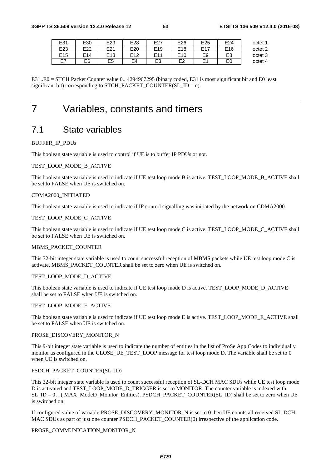| octet 1 | E24             | E <sub>25</sub>                | E26             | E27             | E28             | E29             | E30 | E31             |
|---------|-----------------|--------------------------------|-----------------|-----------------|-----------------|-----------------|-----|-----------------|
| octet 2 | E <sub>16</sub> | E1<br>$\overline{\phantom{a}}$ | E <sub>18</sub> | E <sub>19</sub> | E <sub>20</sub> | E21             | E22 | E23             |
| octet 3 | E8              | E <sub>9</sub>                 | E <sub>10</sub> | F11             | F <sub>12</sub> | E <sub>13</sub> | E14 | E <sub>15</sub> |
| octet 4 | E0              | F <sub>1</sub><br>−            | 口つ              | E3              | E4              | E5              | E6  | E7              |

E31..E0 = STCH Packet Counter value 0.. 4294967295 (binary coded, E31 is most significant bit and E0 least significant bit) corresponding to STCH\_PACKET\_COUNTER(SL\_ID = n).

# 7 Variables, constants and timers

# 7.1 State variables

#### BUFFER\_IP\_PDUs

This boolean state variable is used to control if UE is to buffer IP PDUs or not.

#### TEST\_LOOP\_MODE\_B\_ACTIVE

This boolean state variable is used to indicate if UE test loop mode B is active. TEST\_LOOP\_MODE\_B\_ACTIVE shall be set to FALSE when UE is switched on.

#### CDMA2000\_INITIATED

This boolean state variable is used to indicate if IP control signalling was initiated by the network on CDMA2000.

#### TEST\_LOOP\_MODE\_C\_ACTIVE

This boolean state variable is used to indicate if UE test loop mode C is active. TEST\_LOOP\_MODE\_C\_ACTIVE shall be set to FALSE when UE is switched on.

#### MBMS\_PACKET\_COUNTER

This 32-bit integer state variable is used to count successful reception of MBMS packets while UE test loop mode C is activate. MBMS\_PACKET\_COUNTER shall be set to zero when UE is switched on.

#### TEST\_LOOP\_MODE\_D\_ACTIVE

This boolean state variable is used to indicate if UE test loop mode D is active. TEST\_LOOP\_MODE\_D\_ACTIVE shall be set to FALSE when UE is switched on.

#### TEST\_LOOP\_MODE\_E\_ACTIVE

This boolean state variable is used to indicate if UE test loop mode E is active. TEST\_LOOP\_MODE\_E\_ACTIVE shall be set to FALSE when UE is switched on.

#### PROSE\_DISCOVERY\_MONITOR\_N

This 9-bit integer state variable is used to indicate the number of entities in the list of ProSe App Codes to individually monitor as configured in the CLOSE\_UE\_TEST\_LOOP message for test loop mode D. The variable shall be set to 0 when UE is switched on.

### PSDCH\_PACKET\_COUNTER(SL\_ID)

This 32-bit integer state variable is used to count successful reception of SL-DCH MAC SDUs while UE test loop mode D is activated and TEST\_LOOP\_MODE\_D\_TRIGGER is set to MONITOR. The counter variable is indexed with SL\_ID = 0…( MAX\_ModeD\_Monitor\_Entities). PSDCH\_PACKET\_COUNTER(SL\_ID) shall be set to zero when UE is switched on.

If configured value of variable PROSE\_DISCOVERY\_MONITOR\_N is set to 0 then UE counts all received SL-DCH MAC SDUs as part of just one counter PSDCH\_PACKET\_COUNTER(0) irrespective of the application code.

#### PROSE\_COMMUNICATION\_MONITOR\_N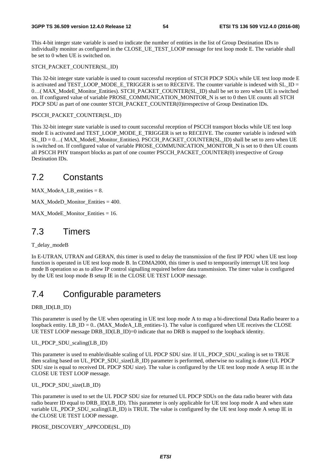This 4-bit integer state variable is used to indicate the number of entities in the list of Group Destination IDs to individually monitor as configured in the CLOSE\_UE\_TEST\_LOOP message for test loop mode E. The variable shall be set to 0 when UE is switched on.

#### STCH\_PACKET\_COUNTER(SL\_ID)

This 32-bit integer state variable is used to count successful reception of STCH PDCP SDUs while UE test loop mode E is activated and TEST\_LOOP\_MODE\_E\_TRIGGER is set to RECEIVE. The counter variable is indexed with SL\_ID = 0…( MAX\_ModeE\_Monitor\_Entities). STCH\_PACKET\_COUNTER(SL\_ID) shall be set to zero when UE is switched on. If configured value of variable PROSE\_COMMUNICATION\_MONITOR\_N is set to 0 then UE counts all STCH PDCP SDU as part of one counter STCH\_PACKET\_COUNTER(0)irrespective of Group Destination IDs.

#### PSCCH\_PACKET\_COUNTER(SL\_ID)

This 32-bit integer state variable is used to count successful reception of PSCCH transport blocks while UE test loop mode E is activated and TEST\_LOOP\_MODE\_E\_TRIGGER is set to RECEIVE. The counter variable is indexed with SL\_ID = 0…( MAX\_ModeE\_Monitor\_Entities). PSCCH\_PACKET\_COUNTER(SL\_ID) shall be set to zero when UE is switched on. If configured value of variable PROSE\_COMMUNICATION\_MONITOR\_N is set to 0 then UE counts all PSCCH PHY transport blocks as part of one counter PSCCH\_PACKET\_COUNTER(0) irrespective of Group Destination IDs.

# 7.2 Constants

MAX ModeA LB entities  $= 8$ .

MAX\_ModeD\_Monitor\_Entities = 400.

 $MAX$  ModeE Monitor Entities = 16.

# 7.3 Timers

T\_delay\_modeB

In E-UTRAN, UTRAN and GERAN, this timer is used to delay the transmission of the first IP PDU when UE test loop function is operated in UE test loop mode B. In CDMA2000, this timer is used to temporarily interrupt UE test loop mode B operation so as to allow IP control signalling required before data transmission. The timer value is configured by the UE test loop mode B setup IE in the CLOSE UE TEST LOOP message.

# 7.4 Configurable parameters

DRB\_ID(LB\_ID)

This parameter is used by the UE when operating in UE test loop mode A to map a bi-directional Data Radio bearer to a loopback entity. LB  $ID = 0$ . (MAX ModeA LB entities-1). The value is configured when UE receives the CLOSE UE TEST LOOP message DRB ID(LB ID)=0 indicate that no DRB is mapped to the loopback identity.

UL\_PDCP\_SDU\_scaling(LB\_ID)

This parameter is used to enable/disable scaling of UL PDCP SDU size. If UL\_PDCP\_SDU\_scaling is set to TRUE then scaling based on UL\_PDCP\_SDU\_size(LB\_ID) parameter is performed, otherwise no scaling is done (UL PDCP SDU size is equal to received DL PDCP SDU size). The value is configured by the UE test loop mode A setup IE in the CLOSE UE TEST LOOP message.

#### UL PDCP SDU size(LB\_ID)

This parameter is used to set the UL PDCP SDU size for returned UL PDCP SDUs on the data radio bearer with data radio bearer ID equal to DRB\_ID(LB\_ID). This parameter is only applicable for UE test loop mode A and when state variable UL\_PDCP\_SDU\_scaling(LB\_ID) is TRUE. The value is configured by the UE test loop mode A setup IE in the CLOSE UE TEST LOOP message.

#### PROSE\_DISCOVERY\_APPCODE(SL\_ID)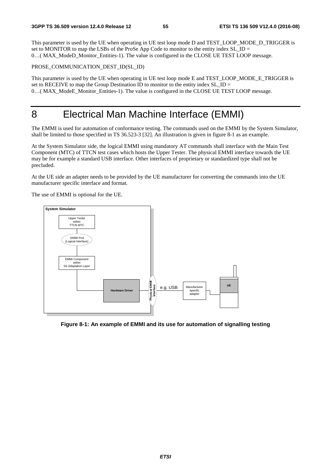This parameter is used by the UE when operating in UE test loop mode D and TEST\_LOOP\_MODE\_D\_TRIGGER is set to MONITOR to map the LSBs of the ProSe App Code to monitor to the entity index SL\_ID = 0…( MAX\_ModeD\_Monitor\_Entities-1). The value is configured in the CLOSE UE TEST LOOP message.

#### PROSE\_COMMUNICATION\_DEST\_ID(SL\_ID)

This parameter is used by the UE when operating in UE test loop mode E and TEST\_LOOP\_MODE\_E\_TRIGGER is set to RECEIVE to map the Group Destination ID to monitor to the entity index SL ID  $=$ 0...( MAX\_ModeE\_Monitor\_Entities-1). The value is configured in the CLOSE UE TEST LOOP message.

# 8 Electrical Man Machine Interface (EMMI)

The EMMI is used for automation of conformance testing. The commands used on the EMMI by the System Simulator, shall be limited to those specified in TS 36.523-3 [32]. An illustration is given in figure 8-1 as an example.

At the System Simulator side, the logical EMMI using mandatory AT commands shall interface with the Main Test Component (MTC) of TTCN test cases which hosts the Upper Tester. The physical EMMI interface towards the UE may be for example a standard USB interface. Other interfaces of proprietary or standardized type shall not be precluded.

At the UE side an adapter needs to be provided by the UE manufacturer for converting the commands into the UE manufacturer specific interface and format.

The use of EMMI is optional for the UE.



**Figure 8-1: An example of EMMI and its use for automation of signalling testing**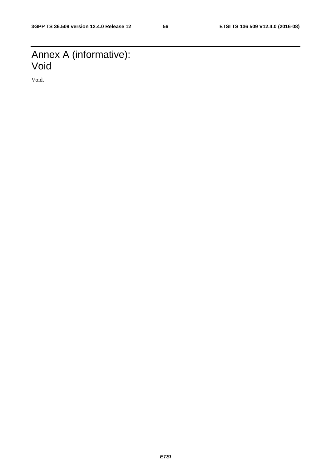# Annex A (informative): Void

Void.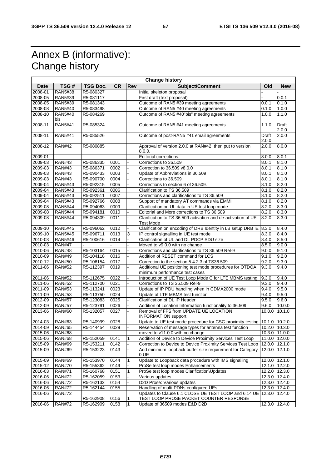# Annex B (informative): Change history

| <b>Change history</b> |                |                 |           |     |                                                                          |               |            |  |  |
|-----------------------|----------------|-----------------|-----------|-----|--------------------------------------------------------------------------|---------------|------------|--|--|
| <b>Date</b>           | TSG#           | <b>TSG Doc.</b> | <b>CR</b> | Rev | Subject/Comment                                                          | Old           | <b>New</b> |  |  |
| 2008-01               | RAN5#38        | R5-080327       |           |     | Initial skeleton proposal                                                |               |            |  |  |
| 2008-05               | <b>RAN5#39</b> | R5-081117       |           |     | First draft (text proposal)                                              |               | 0.0.1      |  |  |
| 2008-05               | RAN5#39        | R5-081343       |           |     | Outcome of RAN5 #39 meeting agreements                                   | 0.0.1         | 0.1.0      |  |  |
| 2008-08               | RAN5#40        | R5-083498       |           |     | Outcome of RAN5 #40 meeting agreements                                   | 0.1.0         | 1.0.0      |  |  |
| 2008-10               | <b>RAN5#40</b> | R5-084269       |           |     | Outcome of RAN5 #40"bis" meeting agreements                              | 1.0.0         | 1.1.0      |  |  |
|                       | bis            |                 |           |     |                                                                          |               |            |  |  |
| 2008-11               | <b>RAN5#41</b> | R5-085324       |           |     | Outcome of RAN5 #41 meeting agreements                                   | 1.1.0         | Draft      |  |  |
|                       |                |                 |           |     |                                                                          |               | 2.0.0      |  |  |
| 2008-11               | <b>RAN5#41</b> | R5-085526       |           |     | Outcome of post-RAN5 #41 email agreements                                | Draft         | 2.0.0      |  |  |
|                       |                |                 |           |     |                                                                          | 2.0.0         |            |  |  |
| 2008-12               | <b>RAN#42</b>  | R5-080885       |           |     | Approval of version 2.0.0 at RAN#42, then put to version                 | 2.0.0         | 8.0.0      |  |  |
|                       |                |                 |           |     | 8.0.0.                                                                   |               |            |  |  |
| 2009-01               |                |                 |           |     | Editorial corrections.                                                   | 8.0.0         | 8.0.1      |  |  |
| 2009-03               | <b>RAN#43</b>  | R5-086335       | 0001      |     | Corrections to 36.509                                                    | 8.0.1         | 8.1.0      |  |  |
| 2009-03               | <b>RAN#43</b>  | R5-086371       | 0002      |     | Correction to 36.509 v8.0.0                                              | 8.0.1         | 8.1.0      |  |  |
| 2009-03               | <b>RAN#43</b>  | R5-090433       | 0003      |     | Update of Abbreviations in 36.509                                        | 8.0.1         | 8.1.0      |  |  |
|                       |                |                 |           |     |                                                                          |               |            |  |  |
| 2009-03               | <b>RAN#43</b>  | R5-090700       | 0004      |     | Corrections to 36.509                                                    | 8.0.1         | 8.1.0      |  |  |
| 2009-04               | <b>RAN5#43</b> | R5-092315       | 0005      |     | Corrections to section 6 of 36.509.                                      | 8.1.0         | 8.2.0      |  |  |
| 2009-04               | <b>RAN5#43</b> | R5-092361       | 0006      |     | Clarification to TS 36.509                                               | 8.1.0         | 8.2.0      |  |  |
| 2009-04               | <b>RAN5#43</b> | R5-092511       | 0007      |     | Corrections and clarifications to TS 36.509                              | 8.1.0         | 8.2.0      |  |  |
| 2009-04               | <b>RAN5#43</b> | R5-092766       | 0008      |     | Support of mandatory AT commands via EMMI                                | 8.1.0         | 8.2.0      |  |  |
| 2009-08               | <b>RAN5#44</b> | R5-094063       | 0009      |     | Clarification on UL data in UE test loop mode                            | 8.2.0         | 8.3.0      |  |  |
| 2009-08               | <b>RAN5#44</b> | R5-094181       | 0010      |     | Editorial and More corrections to TS 36.509                              | 8.2.0         | 8.3.0      |  |  |
| 2009-08               | <b>RAN5#44</b> | R5-094309       | 0011      |     | Clarification to TS 36.509 activation and de-activation of UE            | 8.2.0         | 8.3.0      |  |  |
|                       |                |                 |           |     | Test Mode                                                                |               |            |  |  |
| 2009-10               | <b>RAN5#45</b> | R5-096062       | 0012      |     | Clarification on encoding of DRB Identity in LB setup DRB IE             | 8.3.0         | 8.4.0      |  |  |
| 2009-10               | <b>RAN5#45</b> | R5-096711       | 0013      | 3   | IP control signalling in UE test mode                                    | 8.3.0         | 8.4.0      |  |  |
| 2010-03               | <b>RAN5#46</b> | R5-100616       | 0014      |     | Clarification of UL and DL PDCP SDU size                                 | 8.4.0         | 8.5.0      |  |  |
| 2010-03               | <b>RAN#47</b>  |                 |           |     | Moved to v9.0.0 with no change                                           | 8.5.0         | 9.0.0      |  |  |
| 2010-06               | <b>RAN#48</b>  | R5-103164       | 0015      |     | Corrections and clarifications to TS 36.509 Rel-9                        | 9.0.0         | 9.1.0      |  |  |
| 2010-09               | <b>RAN#49</b>  | R5-104118       | 0016      |     | Addition of RESET command for LCS                                        | 9.1.0         | 9.2.0      |  |  |
| 2010-12               | <b>RAN#50</b>  | R5-106154       | 0017      |     | Correction to the section 5.4.2.3 of TS36.509                            | 9.2.0         | 9.3.0      |  |  |
| 2011-06               | <b>RAN#52</b>  | R5-112397       | 0019      | ä,  | Additional UE positioning test mode procedures for OTDOA                 | 9.3.0         | 9.4.0      |  |  |
|                       |                |                 |           |     | minimum performance test cases                                           |               |            |  |  |
| 2011-06               | <b>RAN#52</b>  | R5-112675       | 0022      |     | Introduction of UE Test Loop Mode C for LTE MBMS testing                 | 9.3.0         | 9.4.0      |  |  |
| 2011-06               | <b>RAN#52</b>  | R5-112700       | 0021      |     | Corrections to TS 36.509 Rel-9                                           | 9.3.0         | 9.4.0      |  |  |
| 2011-09               | <b>RAN#53</b>  | R5-113241       | 0023      |     | Update of IP PDU handling when in CDMA2000 mode                          | 9.4.0         | 9.5.0      |  |  |
| 2011-09               | <b>RAN#53</b>  | R5-113750       | 0024      |     | Update of LTE MBMS test function                                         | 9.4.0         | 9.5.0      |  |  |
| 2012-09               | <b>RAN#57</b>  | R5-123083       | 0025      |     | Clarification of DL IP Header                                            | 9.5.0         | 9.6.0      |  |  |
| 2012-09               | <b>RAN#57</b>  | R5-123791       | 0026      |     | Addition of Location Information functionality to 36.509                 | 9.6.0         | 10.0.0     |  |  |
| 2013-06               | <b>RAN#60</b>  | R5-132057       | 0027      |     | Removal of FFS from UPDATE UE LOCATION                                   | 10.0.0        | 10.1.0     |  |  |
|                       |                |                 |           |     | <b>INFORMATION</b> support                                               |               |            |  |  |
| 2014-03               | <b>RAN#63</b>  | R5-140999       | 0028      |     | Update to UE test mode procedure for CSG proximity testing 10.1.0 10.2.0 |               |            |  |  |
| 2014-09               | <b>RAN#65</b>  | R5-144454       | 0029      |     | Reservation of message types for antenna test function                   | 10.2.0 10.3.0 |            |  |  |
| 2015-06               | <b>RAN#68</b>  |                 |           |     | moved to v11.0.0 with no change                                          | 10.3.0 11.0.0 |            |  |  |
| 2015-06               | <b>RAN#68</b>  | R5-152059       | 0141      |     | Addition of Device to Device Proximity Services Test Loop                | 11.0.0 12.0.0 |            |  |  |
| 2015-09               | <b>RAN#69</b>  | R5-153211       | 0142      |     | Correction to Device to Device Proximity Services Test Loop              | 12.0.0 12.1.0 |            |  |  |
|                       |                |                 |           |     |                                                                          |               |            |  |  |
| 2015-09               | <b>RAN#69</b>  | R5-153223       | 0143      |     | Add minimum loopback buffer size requirement for Category<br>0 UE        | 12.0.0 12.1.0 |            |  |  |
| 2015-09               | <b>RAN#69</b>  | R5-153970       | 0144      | 1   | Update to Loopback data procedure with IMS signalling                    | 12.0.0 12.1.0 |            |  |  |
|                       |                |                 | 0149      |     |                                                                          |               |            |  |  |
| 2015-12               | <b>RAN#70</b>  | R5-155362       |           |     | ProSe test loop modes Enhancements                                       | 12.1.0 12.2.0 |            |  |  |
| 2016-03               | <b>RAN#71</b>  | R5-160768       | 0151      | 1   | ProSe test loop modes Clarification\Updates                              | 12.2.0 12.3.0 |            |  |  |
| 2016-06               | <b>RAN#72</b>  | R5-162059       | 0153      |     | Various updates                                                          | 12.3.0 12.4.0 |            |  |  |
| 2016-06               | <b>RAN#72</b>  | R5-162132       | 0154      |     | D2D Prose: Various updates                                               | 12.3.0 12.4.0 |            |  |  |
| 2016-06               | <b>RAN#72</b>  | R5-162144       | 0155      |     | Handling of multi-PDNs-configured UEs                                    | 12.3.0 12.4.0 |            |  |  |
| 2016-06               | <b>RAN#72</b>  |                 |           |     | Updates to Clause 6.1 CLOSE UE TEST LOOP and 6.14 UE                     | 12.3.0 12.4.0 |            |  |  |
|                       |                | R5-162908       | 0156      | 1   | TEST LOOP PROSE PACKET COUNTER RESPONSE                                  |               |            |  |  |
| 2016-06               | <b>RAN#72</b>  | R5-162909       | 0158      | 1   | Update of 36509 modes E&D D2D                                            | 12.3.0 12.4.0 |            |  |  |